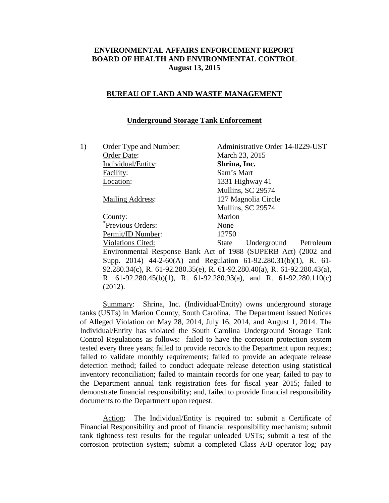# **ENVIRONMENTAL AFFAIRS ENFORCEMENT REPORT BOARD OF HEALTH AND ENVIRONMENTAL CONTROL August 13, 2015**

### **BUREAU OF LAND AND WASTE MANAGEMENT**

### **Underground Storage Tank Enforcement**

| 1) | Order Type and Number:   | Administrative Order 14-0229-UST                                           |
|----|--------------------------|----------------------------------------------------------------------------|
|    | Order Date:              | March 23, 2015                                                             |
|    | Individual/Entity:       | Shrina, Inc.                                                               |
|    | Facility:                | Sam's Mart                                                                 |
|    | Location:                | 1331 Highway 41                                                            |
|    |                          | Mullins, SC 29574                                                          |
|    | <b>Mailing Address:</b>  | 127 Magnolia Circle                                                        |
|    |                          | Mullins, SC 29574                                                          |
|    | County:                  | Marion                                                                     |
|    | Previous Orders:         | None                                                                       |
|    | Permit/ID Number:        | 12750                                                                      |
|    | <b>Violations Cited:</b> | State Underground Petroleum                                                |
|    |                          | Environmental Response Bank Act of 1988 (SUPERB Act) (2002 and             |
|    |                          | Supp. 2014) 44-2-60(A) and Regulation 61-92.280.31(b)(1), R. 61-           |
|    |                          | 92.280.34(c), R. 61-92.280.35(e), R. 61-92.280.40(a), R. 61-92.280.43(a),  |
|    |                          | R. $61-92.280.45(b)(1)$ , R. $61-92.280.93(a)$ , and R. $61-92.280.110(c)$ |
|    | (2012).                  |                                                                            |

Summary: Shrina, Inc. (Individual/Entity) owns underground storage tanks (USTs) in Marion County, South Carolina. The Department issued Notices of Alleged Violation on May 28, 2014, July 16, 2014, and August 1, 2014. The Individual/Entity has violated the South Carolina Underground Storage Tank Control Regulations as follows: failed to have the corrosion protection system tested every three years; failed to provide records to the Department upon request; failed to validate monthly requirements; failed to provide an adequate release detection method; failed to conduct adequate release detection using statistical inventory reconciliation; failed to maintain records for one year; failed to pay to the Department annual tank registration fees for fiscal year 2015; failed to demonstrate financial responsibility; and, failed to provide financial responsibility documents to the Department upon request.

Action: The Individual/Entity is required to: submit a Certificate of Financial Responsibility and proof of financial responsibility mechanism; submit tank tightness test results for the regular unleaded USTs; submit a test of the corrosion protection system; submit a completed Class A/B operator log; pay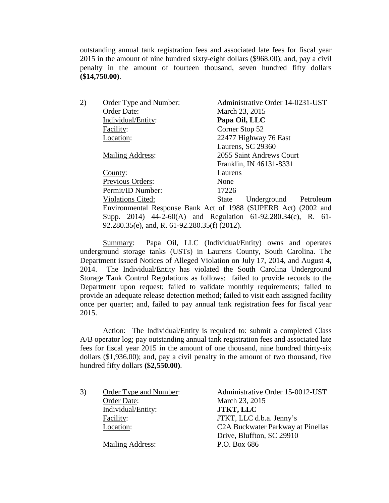outstanding annual tank registration fees and associated late fees for fiscal year 2015 in the amount of nine hundred sixty-eight dollars (\$968.00); and, pay a civil penalty in the amount of fourteen thousand, seven hundred fifty dollars **(\$14,750.00)**.

| 2) | Order Type and Number:                        | Administrative Order 14-0231-UST                               |
|----|-----------------------------------------------|----------------------------------------------------------------|
|    | Order Date:                                   | March 23, 2015                                                 |
|    | Individual/Entity:                            | Papa Oil, LLC                                                  |
|    | Facility:                                     | Corner Stop 52                                                 |
|    | Location:                                     | 22477 Highway 76 East                                          |
|    |                                               | Laurens, SC 29360                                              |
|    | <b>Mailing Address:</b>                       | 2055 Saint Andrews Court                                       |
|    |                                               | Franklin, IN 46131-8331                                        |
|    | County:                                       | Laurens                                                        |
|    | Previous Orders:                              | None                                                           |
|    | Permit/ID Number:                             | 17226                                                          |
|    | <b>Violations Cited:</b>                      | State Underground Petroleum                                    |
|    |                                               | Environmental Response Bank Act of 1988 (SUPERB Act) (2002 and |
|    |                                               | Supp. 2014) 44-2-60(A) and Regulation 61-92.280.34(c), R. 61-  |
|    | 92.280.35(e), and, R. 61-92.280.35(f) (2012). |                                                                |
|    |                                               |                                                                |

Summary: Papa Oil, LLC (Individual/Entity) owns and operates underground storage tanks (USTs) in Laurens County, South Carolina. The Department issued Notices of Alleged Violation on July 17, 2014, and August 4, 2014. The Individual/Entity has violated the South Carolina Underground Storage Tank Control Regulations as follows: failed to provide records to the Department upon request; failed to validate monthly requirements; failed to provide an adequate release detection method; failed to visit each assigned facility once per quarter; and, failed to pay annual tank registration fees for fiscal year 2015.

Action: The Individual/Entity is required to: submit a completed Class A/B operator log; pay outstanding annual tank registration fees and associated late fees for fiscal year 2015 in the amount of one thousand, nine hundred thirty-six dollars (\$1,936.00); and, pay a civil penalty in the amount of two thousand, five hundred fifty dollars **(\$2,550.00)**.

Order Date: March 23, 2015 Individual/Entity: **JTKT, LLC**

Mailing Address: P.O. Box 686

3) Order Type and Number: Administrative Order 15-0012-UST Facility: **JTKT**, LLC d.b.a. Jenny's Location: C2A Buckwater Parkway at Pinellas Drive, Bluffton, SC 29910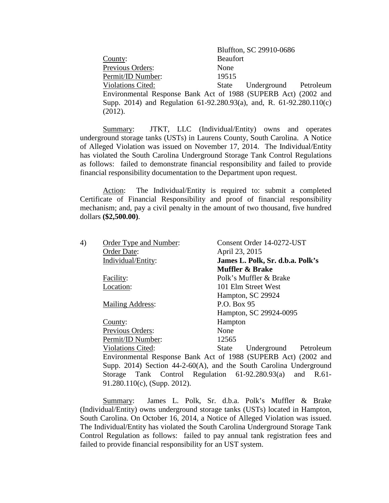|                                                                      |                 | Bluffton, SC 29910-0686     |  |
|----------------------------------------------------------------------|-----------------|-----------------------------|--|
| County:                                                              | <b>Beaufort</b> |                             |  |
| <b>Previous Orders:</b>                                              | None            |                             |  |
| Permit/ID Number:                                                    | 19515           |                             |  |
| <b>Violations Cited:</b>                                             |                 | State Underground Petroleum |  |
| Environmental Response Bank Act of 1988 (SUPERB Act) (2002 and       |                 |                             |  |
| Supp. 2014) and Regulation 61-92.280.93(a), and, R. 61-92.280.110(c) |                 |                             |  |
| (2012).                                                              |                 |                             |  |

Summary: JTKT, LLC (Individual/Entity) owns and operates underground storage tanks (USTs) in Laurens County, South Carolina. A Notice of Alleged Violation was issued on November 17, 2014. The Individual/Entity has violated the South Carolina Underground Storage Tank Control Regulations as follows: failed to demonstrate financial responsibility and failed to provide financial responsibility documentation to the Department upon request.

Action: The Individual/Entity is required to: submit a completed Certificate of Financial Responsibility and proof of financial responsibility mechanism; and, pay a civil penalty in the amount of two thousand, five hundred dollars **(\$2,500.00)**.

| 4) | Order Type and Number:          | Consent Order 14-0272-UST                                             |
|----|---------------------------------|-----------------------------------------------------------------------|
|    | Order Date:                     | April 23, 2015                                                        |
|    | Individual/Entity:              | James L. Polk, Sr. d.b.a. Polk's                                      |
|    |                                 | Muffler & Brake                                                       |
|    | Facility:                       | Polk's Muffler & Brake                                                |
|    | Location:                       | 101 Elm Street West                                                   |
|    |                                 | Hampton, SC 29924                                                     |
|    | <b>Mailing Address:</b>         | P.O. Box 95                                                           |
|    |                                 | Hampton, SC 29924-0095                                                |
|    | County:                         | Hampton                                                               |
|    | Previous Orders:                | None                                                                  |
|    | Permit/ID Number:               | 12565                                                                 |
|    | <b>Violations Cited:</b>        | State Underground<br>Petroleum                                        |
|    |                                 | Environmental Response Bank Act of 1988 (SUPERB Act) (2002 and        |
|    |                                 | Supp. 2014) Section $44-2-60(A)$ , and the South Carolina Underground |
|    |                                 | Storage Tank Control Regulation 61-92.280.93(a) and R.61-             |
|    | $91.280.110(c)$ , (Supp. 2012). |                                                                       |

Summary: James L. Polk, Sr. d.b.a. Polk's Muffler & Brake (Individual/Entity) owns underground storage tanks (USTs) located in Hampton, South Carolina. On October 16, 2014, a Notice of Alleged Violation was issued. The Individual/Entity has violated the South Carolina Underground Storage Tank Control Regulation as follows: failed to pay annual tank registration fees and failed to provide financial responsibility for an UST system.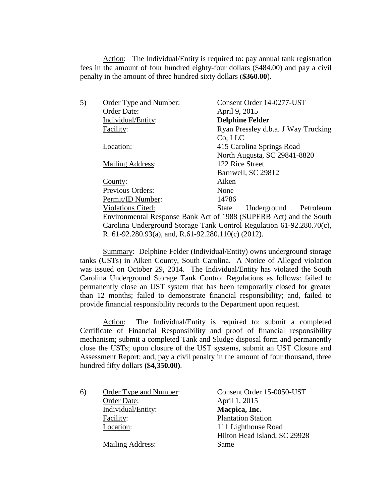Action: The Individual/Entity is required to: pay annual tank registration fees in the amount of four hundred eighty-four dollars (\$484.00) and pay a civil penalty in the amount of three hundred sixty dollars (**\$360.00**).

| 5) | Order Type and Number:                              | Consent Order 14-0277-UST                                             |
|----|-----------------------------------------------------|-----------------------------------------------------------------------|
|    | Order Date:                                         | April 9, 2015                                                         |
|    | Individual/Entity:                                  | <b>Delphine Felder</b>                                                |
|    | Facility:                                           | Ryan Pressley d.b.a. J Way Trucking                                   |
|    |                                                     | Co, LLC                                                               |
|    | Location:                                           | 415 Carolina Springs Road                                             |
|    |                                                     | North Augusta, SC 29841-8820                                          |
|    | <b>Mailing Address:</b>                             | 122 Rice Street                                                       |
|    |                                                     | Barnwell, SC 29812                                                    |
|    | County:                                             | Aiken                                                                 |
|    | Previous Orders:                                    | None                                                                  |
|    | Permit/ID Number:                                   | 14786                                                                 |
|    | <b>Violations Cited:</b>                            | State Underground Petroleum                                           |
|    |                                                     | Environmental Response Bank Act of 1988 (SUPERB Act) and the South    |
|    |                                                     | Carolina Underground Storage Tank Control Regulation 61-92.280.70(c), |
|    | R. 61-92.280.93(a), and, R.61-92.280.110(c) (2012). |                                                                       |

Summary: Delphine Felder (Individual/Entity) owns underground storage tanks (USTs) in Aiken County, South Carolina. A Notice of Alleged violation was issued on October 29, 2014. The Individual/Entity has violated the South Carolina Underground Storage Tank Control Regulations as follows: failed to permanently close an UST system that has been temporarily closed for greater than 12 months; failed to demonstrate financial responsibility; and, failed to provide financial responsibility records to the Department upon request.

Action: The Individual/Entity is required to: submit a completed Certificate of Financial Responsibility and proof of financial responsibility mechanism; submit a completed Tank and Sludge disposal form and permanently close the USTs; upon closure of the UST systems, submit an UST Closure and Assessment Report; and, pay a civil penalty in the amount of four thousand, three hundred fifty dollars **(\$4,350.00)**.

| 6) | Order Type and Number:  | Consent Order 15-0050-UST    |
|----|-------------------------|------------------------------|
|    | Order Date:             | April 1, 2015                |
|    | Individual/Entity:      | Macpica, Inc.                |
|    | Facility:               | <b>Plantation Station</b>    |
|    | Location:               | 111 Lighthouse Road          |
|    |                         | Hilton Head Island, SC 29928 |
|    | <b>Mailing Address:</b> | Same                         |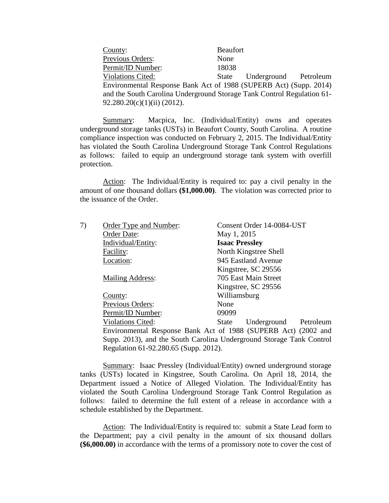| County:                                                                | <b>Beaufort</b> |                             |  |
|------------------------------------------------------------------------|-----------------|-----------------------------|--|
| <b>Previous Orders:</b>                                                | None            |                             |  |
| Permit/ID Number:                                                      | 18038           |                             |  |
| <b>Violations Cited:</b>                                               |                 | State Underground Petroleum |  |
| Environmental Response Bank Act of 1988 (SUPERB Act) (Supp. 2014)      |                 |                             |  |
| and the South Carolina Underground Storage Tank Control Regulation 61- |                 |                             |  |
| 92.280.20(c)(1)(ii) (2012).                                            |                 |                             |  |

Summary: Macpica, Inc. (Individual/Entity) owns and operates underground storage tanks (USTs) in Beaufort County, South Carolina. A routine compliance inspection was conducted on February 2, 2015. The Individual/Entity has violated the South Carolina Underground Storage Tank Control Regulations as follows: failed to equip an underground storage tank system with overfill protection.

Action: The Individual/Entity is required to: pay a civil penalty in the amount of one thousand dollars **(\$1,000.00)**. The violation was corrected prior to the issuance of the Order.

| 7) | Order Type and Number:                | Consent Order 14-0084-UST                                            |
|----|---------------------------------------|----------------------------------------------------------------------|
|    | Order Date:                           | May 1, 2015                                                          |
|    | Individual/Entity:                    | <b>Isaac Pressley</b>                                                |
|    | Facility:                             | North Kingstree Shell                                                |
|    | Location:                             | 945 Eastland Avenue                                                  |
|    |                                       | Kingstree, SC 29556                                                  |
|    | <b>Mailing Address:</b>               | 705 East Main Street                                                 |
|    |                                       | Kingstree, SC 29556                                                  |
|    | County:                               | Williamsburg                                                         |
|    | Previous Orders:                      | None                                                                 |
|    | Permit/ID Number:                     | 09099                                                                |
|    | <b>Violations Cited:</b>              | Underground<br>Petroleum<br>State                                    |
|    |                                       | Environmental Response Bank Act of 1988 (SUPERB Act) (2002 and       |
|    |                                       | Supp. 2013), and the South Carolina Underground Storage Tank Control |
|    | Regulation 61-92.280.65 (Supp. 2012). |                                                                      |

Summary: Isaac Pressley (Individual/Entity) owned underground storage tanks (USTs) located in Kingstree, South Carolina. On April 18, 2014, the Department issued a Notice of Alleged Violation. The Individual/Entity has violated the South Carolina Underground Storage Tank Control Regulation as follows: failed to determine the full extent of a release in accordance with a schedule established by the Department.

Action: The Individual/Entity is required to: submit a State Lead form to the Department; pay a civil penalty in the amount of six thousand dollars **(\$6,000.00)** in accordance with the terms of a promissory note to cover the cost of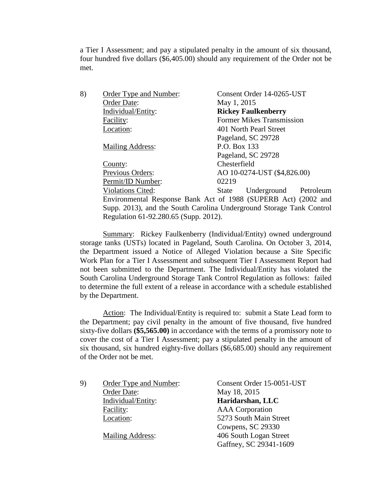a Tier I Assessment; and pay a stipulated penalty in the amount of six thousand, four hundred five dollars (\$6,405.00) should any requirement of the Order not be met.

| 8) | <b>Order Type and Number:</b>         | Consent Order 14-0265-UST                                            |
|----|---------------------------------------|----------------------------------------------------------------------|
|    | Order Date:                           | May 1, 2015                                                          |
|    | Individual/Entity:                    | <b>Rickey Faulkenberry</b>                                           |
|    | Facility:                             | <b>Former Mikes Transmission</b>                                     |
|    | Location:                             | 401 North Pearl Street                                               |
|    |                                       | Pageland, SC 29728                                                   |
|    | Mailing Address:                      | P.O. Box 133                                                         |
|    |                                       | Pageland, SC 29728                                                   |
|    | County:                               | Chesterfield                                                         |
|    | Previous Orders:                      | AO 10-0274-UST (\$4,826.00)                                          |
|    | Permit/ID Number:                     | 02219                                                                |
|    | <b>Violations Cited:</b>              | Underground<br>Petroleum<br>State                                    |
|    |                                       | Environmental Response Bank Act of 1988 (SUPERB Act) (2002 and       |
|    |                                       | Supp. 2013), and the South Carolina Underground Storage Tank Control |
|    | Regulation 61-92.280.65 (Supp. 2012). |                                                                      |

Summary: Rickey Faulkenberry (Individual/Entity) owned underground storage tanks (USTs) located in Pageland, South Carolina. On October 3, 2014, the Department issued a Notice of Alleged Violation because a Site Specific Work Plan for a Tier I Assessment and subsequent Tier I Assessment Report had not been submitted to the Department. The Individual/Entity has violated the South Carolina Underground Storage Tank Control Regulation as follows: failed to determine the full extent of a release in accordance with a schedule established by the Department.

Action: The Individual/Entity is required to: submit a State Lead form to the Department; pay civil penalty in the amount of five thousand, five hundred sixty-five dollars **(\$5,565.00)** in accordance with the terms of a promissory note to cover the cost of a Tier I Assessment; pay a stipulated penalty in the amount of six thousand, six hundred eighty-five dollars (\$6,685.00) should any requirement of the Order not be met.

9) Order Type and Number: Consent Order 15-0051-UST Order Date: May 18, 2015 Individual/Entity: **Haridarshan, LLC** Facility: AAA Corporation Location: 5273 South Main Street

Cowpens, SC 29330 Mailing Address: 406 South Logan Street Gaffney, SC 29341-1609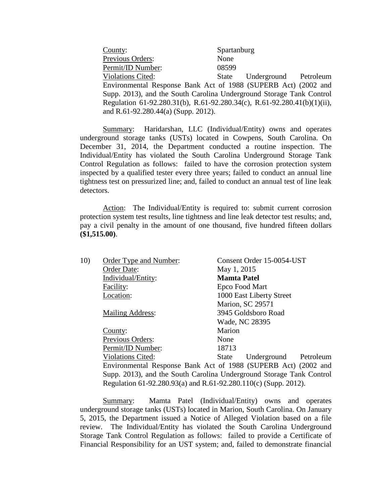| County:                                                                  | Spartanburg |                             |  |
|--------------------------------------------------------------------------|-------------|-----------------------------|--|
| Previous Orders:                                                         | None        |                             |  |
| Permit/ID Number:                                                        | 08599       |                             |  |
| <b>Violations Cited:</b>                                                 |             | State Underground Petroleum |  |
| Environmental Response Bank Act of 1988 (SUPERB Act) (2002 and           |             |                             |  |
| Supp. 2013), and the South Carolina Underground Storage Tank Control     |             |                             |  |
| Regulation 61-92.280.31(b), R.61-92.280.34(c), R.61-92.280.41(b)(1)(ii), |             |                             |  |
| and R.61-92.280.44(a) (Supp. 2012).                                      |             |                             |  |

Summary: Haridarshan, LLC (Individual/Entity) owns and operates underground storage tanks (USTs) located in Cowpens, South Carolina. On December 31, 2014, the Department conducted a routine inspection. The Individual/Entity has violated the South Carolina Underground Storage Tank Control Regulation as follows: failed to have the corrosion protection system inspected by a qualified tester every three years; failed to conduct an annual line tightness test on pressurized line; and, failed to conduct an annual test of line leak detectors.

Action: The Individual/Entity is required to: submit current corrosion protection system test results, line tightness and line leak detector test results; and, pay a civil penalty in the amount of one thousand, five hundred fifteen dollars **(\$1,515.00)**.

| 10) | Order Type and Number:                                               |                    | Consent Order 15-0054-UST |           |
|-----|----------------------------------------------------------------------|--------------------|---------------------------|-----------|
|     | Order Date:                                                          | May 1, 2015        |                           |           |
|     | Individual/Entity:                                                   | <b>Mamta Patel</b> |                           |           |
|     | Facility:                                                            | Epco Food Mart     |                           |           |
|     | Location:                                                            |                    | 1000 East Liberty Street  |           |
|     |                                                                      |                    | <b>Marion, SC 29571</b>   |           |
|     | <b>Mailing Address:</b>                                              |                    | 3945 Goldsboro Road       |           |
|     |                                                                      | Wade, NC 28395     |                           |           |
|     | County:                                                              | Marion             |                           |           |
|     | <b>Previous Orders:</b>                                              | None               |                           |           |
|     | Permit/ID Number:                                                    | 18713              |                           |           |
|     | <b>Violations Cited:</b>                                             | State              | Underground               | Petroleum |
|     | Environmental Response Bank Act of 1988 (SUPERB Act) (2002 and       |                    |                           |           |
|     | Supp. 2013), and the South Carolina Underground Storage Tank Control |                    |                           |           |
|     | Regulation 61-92.280.93(a) and R.61-92.280.110(c) (Supp. 2012).      |                    |                           |           |

Summary: Mamta Patel (Individual/Entity) owns and operates underground storage tanks (USTs) located in Marion, South Carolina. On January 5, 2015, the Department issued a Notice of Alleged Violation based on a file review. The Individual/Entity has violated the South Carolina Underground Storage Tank Control Regulation as follows: failed to provide a Certificate of Financial Responsibility for an UST system; and, failed to demonstrate financial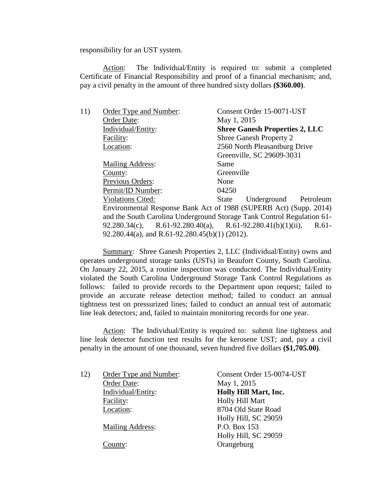responsibility for an UST system.

Action: The Individual/Entity is required to: submit a completed Certificate of Financial Responsibility and proof of a financial mechanism; and, pay a civil penalty in the amount of three hundred sixty dollars **(\$360.00)**.

| 11) | Order Type and Number:                         | Consent Order 15-0071-UST                                              |
|-----|------------------------------------------------|------------------------------------------------------------------------|
|     | Order Date:                                    | May 1, 2015                                                            |
|     | Individual/Entity:                             | <b>Shree Ganesh Properties 2, LLC</b>                                  |
|     | Facility:                                      | Shree Ganesh Property 2                                                |
|     | Location:                                      | 2560 North Pleasantburg Drive                                          |
|     |                                                | Greenville, SC 29609-3031                                              |
|     | <b>Mailing Address:</b>                        | Same                                                                   |
|     | County:                                        | Greenville                                                             |
|     | Previous Orders:                               | None                                                                   |
|     | Permit/ID Number:                              | 04250                                                                  |
|     | <b>Violations Cited:</b>                       | State Underground Petroleum                                            |
|     |                                                | Environmental Response Bank Act of 1988 (SUPERB Act) (Supp. 2014)      |
|     |                                                | and the South Carolina Underground Storage Tank Control Regulation 61- |
|     |                                                | 92.280.34(c), R.61-92.280.40(a), R.61-92.280.41(b)(1)(ii), R.61-       |
|     | 92.280.44(a), and R.61-92.280.45(b)(1) (2012). |                                                                        |
|     |                                                |                                                                        |

Summary: Shree Ganesh Properties 2, LLC (Individual/Entity) owns and operates underground storage tanks (USTs) in Beaufort County, South Carolina. On January 22, 2015, a routine inspection was conducted. The Individual/Entity violated the South Carolina Underground Storage Tank Control Regulations as follows: failed to provide records to the Department upon request; failed to provide an accurate release detection method; failed to conduct an annual tightness test on pressurized lines; failed to conduct an annual test of automatic line leak detectors; and, failed to maintain monitoring records for one year.

Action: The Individual/Entity is required to: submit line tightness and line leak detector function test results for the kerosene UST; and, pay a civil penalty in the amount of one thousand, seven hundred five dollars **(\$1,705.00)**.

| 12) | Order Type and Number:  | Consent Order 15-0074-UST |
|-----|-------------------------|---------------------------|
|     | Order Date:             | May 1, 2015               |
|     | Individual/Entity:      | Holly Hill Mart, Inc.     |
|     | Facility:               | Holly Hill Mart           |
|     | Location:               | 8704 Old State Road       |
|     |                         | Holly Hill, SC 29059      |
|     | <b>Mailing Address:</b> | P.O. Box 153              |
|     |                         | Holly Hill, SC 29059      |
|     | County:                 | Orangeburg                |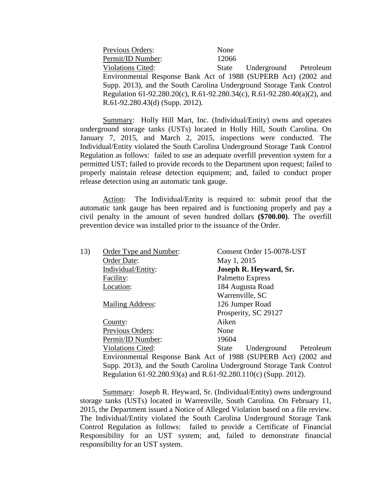| Previous Orders:                                                         | None  |                             |  |
|--------------------------------------------------------------------------|-------|-----------------------------|--|
| Permit/ID Number:                                                        | 12066 |                             |  |
| <b>Violations Cited:</b>                                                 |       | State Underground Petroleum |  |
| Environmental Response Bank Act of 1988 (SUPERB Act) (2002 and           |       |                             |  |
| Supp. 2013), and the South Carolina Underground Storage Tank Control     |       |                             |  |
| Regulation 61-92.280.20(c), R.61-92.280.34(c), R.61-92.280.40(a)(2), and |       |                             |  |
| R.61-92.280.43(d) (Supp. 2012).                                          |       |                             |  |

Summary: Holly Hill Mart, Inc. (Individual/Entity) owns and operates underground storage tanks (USTs) located in Holly Hill, South Carolina. On January 7, 2015, and March 2, 2015, inspections were conducted. The Individual/Entity violated the South Carolina Underground Storage Tank Control Regulation as follows: failed to use an adequate overfill prevention system for a permitted UST; failed to provide records to the Department upon request; failed to properly maintain release detection equipment; and, failed to conduct proper release detection using an automatic tank gauge.

Action: The Individual/Entity is required to: submit proof that the automatic tank gauge has been repaired and is functioning properly and pay a civil penalty in the amount of seven hundred dollars **(\$700.00)**. The overfill prevention device was installed prior to the issuance of the Order.

| 13) | Order Type and Number:                                               |                  | Consent Order 15-0078-UST |           |
|-----|----------------------------------------------------------------------|------------------|---------------------------|-----------|
|     | Order Date:                                                          | May 1, 2015      |                           |           |
|     | Individual/Entity:                                                   |                  | Joseph R. Heyward, Sr.    |           |
|     | Facility:                                                            | Palmetto Express |                           |           |
|     | Location:                                                            |                  | 184 Augusta Road          |           |
|     |                                                                      | Warrenville, SC  |                           |           |
|     | Mailing Address:                                                     |                  | 126 Jumper Road           |           |
|     |                                                                      |                  | Prosperity, SC 29127      |           |
|     | County:                                                              | Aiken            |                           |           |
|     | <b>Previous Orders:</b>                                              | None             |                           |           |
|     | Permit/ID Number:                                                    | 19604            |                           |           |
|     | <b>Violations Cited:</b>                                             | State            | Underground               | Petroleum |
|     | Environmental Response Bank Act of 1988 (SUPERB Act) (2002 and       |                  |                           |           |
|     | Supp. 2013), and the South Carolina Underground Storage Tank Control |                  |                           |           |
|     | Regulation 61-92.280.93(a) and R.61-92.280.110(c) (Supp. 2012).      |                  |                           |           |

Summary: Joseph R. Heyward, Sr. (Individual/Entity) owns underground storage tanks (USTs) located in Warrenville, South Carolina. On February 11, 2015, the Department issued a Notice of Alleged Violation based on a file review. The Individual/Entity violated the South Carolina Underground Storage Tank Control Regulation as follows: failed to provide a Certificate of Financial Responsibility for an UST system; and, failed to demonstrate financial responsibility for an UST system.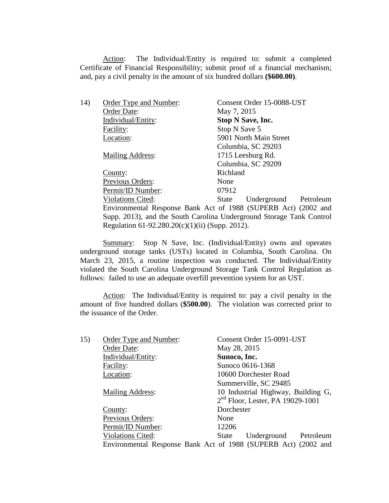Action: The Individual/Entity is required to: submit a completed Certificate of Financial Responsibility; submit proof of a financial mechanism; and, pay a civil penalty in the amount of six hundred dollars **(\$600.00)**.

| 14) | Order Type and Number:                          | Consent Order 15-0088-UST                                            |
|-----|-------------------------------------------------|----------------------------------------------------------------------|
|     | Order Date:                                     | May 7, 2015                                                          |
|     | Individual/Entity:                              | <b>Stop N Save, Inc.</b>                                             |
|     | Facility:                                       | Stop N Save 5                                                        |
|     | Location:                                       | 5901 North Main Street                                               |
|     |                                                 | Columbia, SC 29203                                                   |
|     | <b>Mailing Address:</b>                         | 1715 Leesburg Rd.                                                    |
|     |                                                 | Columbia, SC 29209                                                   |
|     | County:                                         | Richland                                                             |
|     | Previous Orders:                                | None                                                                 |
|     | Permit/ID Number:                               | 07912                                                                |
|     | <b>Violations Cited:</b>                        | Underground<br>Petroleum<br>State                                    |
|     |                                                 | Environmental Response Bank Act of 1988 (SUPERB Act) (2002 and       |
|     |                                                 | Supp. 2013), and the South Carolina Underground Storage Tank Control |
|     | Regulation 61-92.280.20(c)(1)(ii) (Supp. 2012). |                                                                      |
|     |                                                 |                                                                      |

Summary: Stop N Save, Inc. (Individual/Entity) owns and operates underground storage tanks (USTs) located in Columbia, South Carolina. On March 23, 2015, a routine inspection was conducted. The Individual/Entity violated the South Carolina Underground Storage Tank Control Regulation as follows: failed to use an adequate overfill prevention system for an UST.

Action: The Individual/Entity is required to: pay a civil penalty in the amount of five hundred dollars (**\$500.00**). The violation was corrected prior to the issuance of the Order.

| 15) | Order Type and Number:   | Consent Order 15-0091-UST                                      |
|-----|--------------------------|----------------------------------------------------------------|
|     | Order Date:              | May 28, 2015                                                   |
|     | Individual/Entity:       | Sunoco, Inc.                                                   |
|     | Facility:                | Sunoco 0616-1368                                               |
|     | Location:                | 10600 Dorchester Road                                          |
|     |                          | Summerville, SC 29485                                          |
|     | <b>Mailing Address:</b>  | 10 Industrial Highway, Building G,                             |
|     |                          | $2nd$ Floor, Lester, PA 19029-1001                             |
|     | County:                  | Dorchester                                                     |
|     | Previous Orders:         | None                                                           |
|     | Permit/ID Number:        | 12206                                                          |
|     | <b>Violations Cited:</b> | Underground Petroleum<br><b>State</b>                          |
|     |                          | Environmental Response Bank Act of 1988 (SUPERB Act) (2002 and |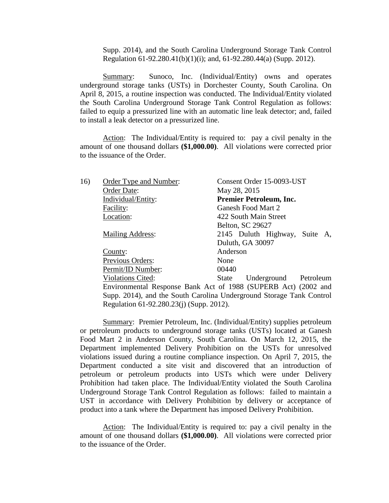Supp. 2014), and the South Carolina Underground Storage Tank Control Regulation 61-92.280.41(b)(1)(i); and, 61-92.280.44(a) (Supp. 2012).

Summary: Sunoco, Inc. (Individual/Entity) owns and operates underground storage tanks (USTs) in Dorchester County, South Carolina. On April 8, 2015, a routine inspection was conducted. The Individual/Entity violated the South Carolina Underground Storage Tank Control Regulation as follows: failed to equip a pressurized line with an automatic line leak detector; and, failed to install a leak detector on a pressurized line.

Action: The Individual/Entity is required to: pay a civil penalty in the amount of one thousand dollars **(\$1,000.00)**. All violations were corrected prior to the issuance of the Order.

| 16) | Order Type and Number:                   | Consent Order 15-0093-UST                                            |
|-----|------------------------------------------|----------------------------------------------------------------------|
|     | Order Date:                              | May 28, 2015                                                         |
|     | Individual/Entity:                       | <b>Premier Petroleum, Inc.</b>                                       |
|     | Facility:                                | Ganesh Food Mart 2                                                   |
|     | Location:                                | 422 South Main Street                                                |
|     |                                          | Belton, SC 29627                                                     |
|     | <b>Mailing Address:</b>                  | 2145 Duluth Highway, Suite A,                                        |
|     |                                          | Duluth, GA 30097                                                     |
|     | County:                                  | Anderson                                                             |
|     | Previous Orders:                         | None                                                                 |
|     | Permit/ID Number:                        | 00440                                                                |
|     | <b>Violations Cited:</b>                 | State Underground Petroleum                                          |
|     |                                          | Environmental Response Bank Act of 1988 (SUPERB Act) (2002 and       |
|     |                                          | Supp. 2014), and the South Carolina Underground Storage Tank Control |
|     | Regulation 61-92.280.23(j) (Supp. 2012). |                                                                      |

Summary: Premier Petroleum, Inc. (Individual/Entity) supplies petroleum or petroleum products to underground storage tanks (USTs) located at Ganesh Food Mart 2 in Anderson County, South Carolina. On March 12, 2015, the Department implemented Delivery Prohibition on the USTs for unresolved violations issued during a routine compliance inspection. On April 7, 2015, the Department conducted a site visit and discovered that an introduction of petroleum or petroleum products into USTs which were under Delivery Prohibition had taken place. The Individual/Entity violated the South Carolina Underground Storage Tank Control Regulation as follows: failed to maintain a UST in accordance with Delivery Prohibition by delivery or acceptance of product into a tank where the Department has imposed Delivery Prohibition.

Action: The Individual/Entity is required to: pay a civil penalty in the amount of one thousand dollars **(\$1,000.00)**. All violations were corrected prior to the issuance of the Order.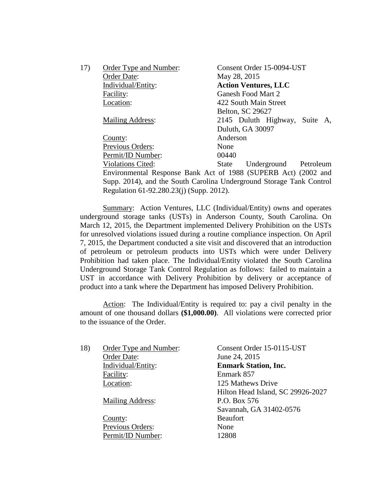| 17) | Order Type and Number:   | Consent Order 15-0094-UST                                      |
|-----|--------------------------|----------------------------------------------------------------|
|     | Order Date:              | May 28, 2015                                                   |
|     | Individual/Entity:       | <b>Action Ventures, LLC</b>                                    |
|     | Facility:                | Ganesh Food Mart 2                                             |
|     | Location:                | 422 South Main Street                                          |
|     |                          | Belton, SC 29627                                               |
|     | <b>Mailing Address:</b>  | 2145 Duluth Highway, Suite A,                                  |
|     |                          | Duluth, GA 30097                                               |
|     | County:                  | Anderson                                                       |
|     | Previous Orders:         | None                                                           |
|     | Permit/ID Number:        | 00440                                                          |
|     | <b>Violations Cited:</b> | Underground Petroleum<br><b>State</b>                          |
|     |                          | Environmental Response Bank Act of 1988 (SUPERB Act) (2002 and |

Environmental Response Bank Act of 1988 (SUPERB Act) (2002 and Supp. 2014), and the South Carolina Underground Storage Tank Control Regulation 61-92.280.23(j) (Supp. 2012).

Summary: Action Ventures, LLC (Individual/Entity) owns and operates underground storage tanks (USTs) in Anderson County, South Carolina. On March 12, 2015, the Department implemented Delivery Prohibition on the USTs for unresolved violations issued during a routine compliance inspection. On April 7, 2015, the Department conducted a site visit and discovered that an introduction of petroleum or petroleum products into USTs which were under Delivery Prohibition had taken place. The Individual/Entity violated the South Carolina Underground Storage Tank Control Regulation as follows: failed to maintain a UST in accordance with Delivery Prohibition by delivery or acceptance of product into a tank where the Department has imposed Delivery Prohibition.

Action: The Individual/Entity is required to: pay a civil penalty in the amount of one thousand dollars **(\$1,000.00)**. All violations were corrected prior to the issuance of the Order.

| 18) | Order Type and Number:  | Consent Order 15-0115-UST         |
|-----|-------------------------|-----------------------------------|
|     | Order Date:             | June 24, 2015                     |
|     | Individual/Entity:      | <b>Enmark Station, Inc.</b>       |
|     | Facility:               | Enmark 857                        |
|     | Location:               | 125 Mathews Drive                 |
|     |                         | Hilton Head Island, SC 29926-2027 |
|     | <b>Mailing Address:</b> | P.O. Box 576                      |
|     |                         | Savannah, GA 31402-0576           |
|     | County:                 | <b>Beaufort</b>                   |
|     | Previous Orders:        | None                              |
|     | Permit/ID Number:       | 12808                             |
|     |                         |                                   |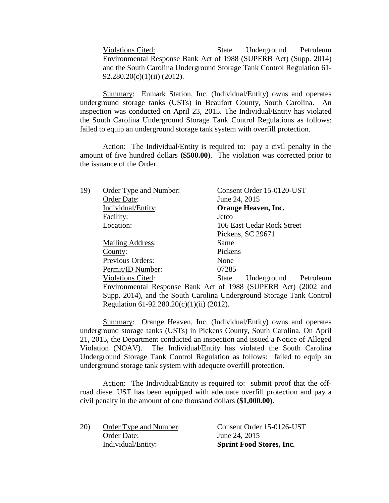Violations Cited: State Underground Petroleum Environmental Response Bank Act of 1988 (SUPERB Act) (Supp. 2014) and the South Carolina Underground Storage Tank Control Regulation 61- 92.280.20(c)(1)(ii) (2012).

Summary: Enmark Station, Inc. (Individual/Entity) owns and operates underground storage tanks (USTs) in Beaufort County, South Carolina. An inspection was conducted on April 23, 2015. The Individual/Entity has violated the South Carolina Underground Storage Tank Control Regulations as follows: failed to equip an underground storage tank system with overfill protection.

Action: The Individual/Entity is required to: pay a civil penalty in the amount of five hundred dollars **(\$500.00)**.The violation was corrected prior to the issuance of the Order.

| 19) | Order Type and Number:                    | Consent Order 15-0120-UST                                            |
|-----|-------------------------------------------|----------------------------------------------------------------------|
|     | Order Date:                               | June 24, 2015                                                        |
|     | Individual/Entity:                        | Orange Heaven, Inc.                                                  |
|     | Facility:                                 | Jetco                                                                |
|     | Location:                                 | 106 East Cedar Rock Street                                           |
|     |                                           | Pickens, SC 29671                                                    |
|     | <b>Mailing Address:</b>                   | Same                                                                 |
|     | County:                                   | Pickens                                                              |
|     | Previous Orders:                          | None                                                                 |
|     | Permit/ID Number:                         | 07285                                                                |
|     | <b>Violations Cited:</b>                  | Underground Petroleum<br>State                                       |
|     |                                           | Environmental Response Bank Act of 1988 (SUPERB Act) (2002 and       |
|     |                                           | Supp. 2014), and the South Carolina Underground Storage Tank Control |
|     | Regulation 61-92.280.20(c)(1)(ii) (2012). |                                                                      |
|     |                                           |                                                                      |

Summary: Orange Heaven, Inc. (Individual/Entity) owns and operates underground storage tanks (USTs) in Pickens County, South Carolina. On April 21, 2015, the Department conducted an inspection and issued a Notice of Alleged Violation (NOAV). The Individual/Entity has violated the South Carolina Underground Storage Tank Control Regulation as follows: failed to equip an underground storage tank system with adequate overfill protection.

Action: The Individual/Entity is required to: submit proof that the offroad diesel UST has been equipped with adequate overfill protection and pay a civil penalty in the amount of one thousand dollars **(\$1,000.00)**.

| 20) | Order Type and Number: | Consent Order 15-0126-UST       |
|-----|------------------------|---------------------------------|
|     | Order Date:            | June 24, 2015                   |
|     | Individual/Entity:     | <b>Sprint Food Stores, Inc.</b> |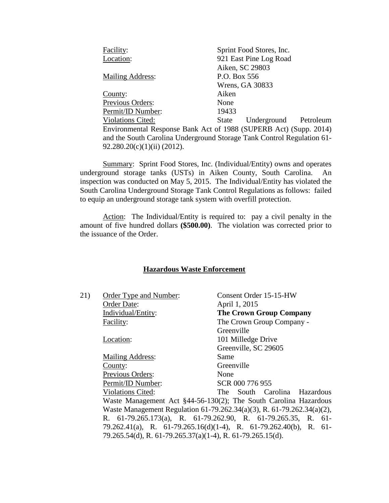| Facility:                   | Sprint Food Stores, Inc.                                               |
|-----------------------------|------------------------------------------------------------------------|
| Location:                   | 921 East Pine Log Road                                                 |
|                             | Aiken, SC 29803                                                        |
| <b>Mailing Address:</b>     | P.O. Box 556                                                           |
|                             | Wrens, GA 30833                                                        |
| County:                     | Aiken                                                                  |
| Previous Orders:            | None                                                                   |
| Permit/ID Number:           | 19433                                                                  |
| <b>Violations Cited:</b>    | Underground Petroleum<br>State                                         |
|                             | Environmental Response Bank Act of 1988 (SUPERB Act) (Supp. 2014)      |
|                             | and the South Carolina Underground Storage Tank Control Regulation 61- |
| 92.280.20(c)(1)(ii) (2012). |                                                                        |

Summary: Sprint Food Stores, Inc. (Individual/Entity) owns and operates underground storage tanks (USTs) in Aiken County, South Carolina. An inspection was conducted on May 5, 2015. The Individual/Entity has violated the South Carolina Underground Storage Tank Control Regulations as follows: failed to equip an underground storage tank system with overfill protection.

Action: The Individual/Entity is required to: pay a civil penalty in the amount of five hundred dollars **(\$500.00)**.The violation was corrected prior to the issuance of the Order.

# **Hazardous Waste Enforcement**

| 21) | Order Type and Number:                                     | Consent Order 15-15-HW                                                 |
|-----|------------------------------------------------------------|------------------------------------------------------------------------|
|     | Order Date:                                                | April 1, 2015                                                          |
|     | Individual/Entity:                                         | <b>The Crown Group Company</b>                                         |
|     | Facility:                                                  | The Crown Group Company -                                              |
|     |                                                            | Greenville                                                             |
|     | Location:                                                  | 101 Milledge Drive                                                     |
|     |                                                            | Greenville, SC 29605                                                   |
|     | <b>Mailing Address:</b>                                    | Same                                                                   |
|     | County:                                                    | Greenville                                                             |
|     | Previous Orders:                                           | None                                                                   |
|     | Permit/ID Number:                                          | SCR 000 776 955                                                        |
|     | <b>Violations Cited:</b>                                   | The South Carolina Hazardous                                           |
|     |                                                            | Waste Management Act §44-56-130(2); The South Carolina Hazardous       |
|     |                                                            | Waste Management Regulation 61-79.262.34(a)(3), R. 61-79.262.34(a)(2), |
|     |                                                            | R. 61-79.265.173(a), R. 61-79.262.90, R. 61-79.265.35, R. 61-          |
|     |                                                            | 79.262.41(a), R. 61-79.265.16(d)(1-4), R. 61-79.262.40(b), R. 61-      |
|     | 79.265.54(d), R. 61-79.265.37(a)(1-4), R. 61-79.265.15(d). |                                                                        |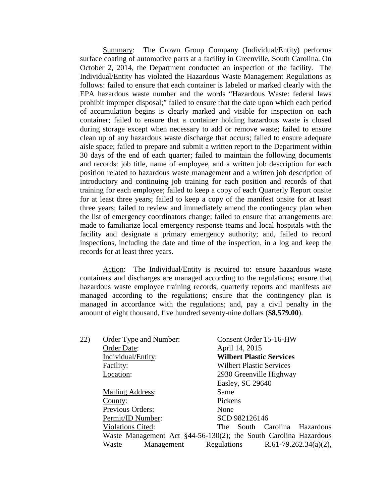Summary: The Crown Group Company (Individual/Entity) performs surface coating of automotive parts at a facility in Greenville, South Carolina. On October 2, 2014, the Department conducted an inspection of the facility. The Individual/Entity has violated the Hazardous Waste Management Regulations as follows: failed to ensure that each container is labeled or marked clearly with the EPA hazardous waste number and the words "Hazardous Waste: federal laws prohibit improper disposal;" failed to ensure that the date upon which each period of accumulation begins is clearly marked and visible for inspection on each container; failed to ensure that a container holding hazardous waste is closed during storage except when necessary to add or remove waste; failed to ensure clean up of any hazardous waste discharge that occurs; failed to ensure adequate aisle space; failed to prepare and submit a written report to the Department within 30 days of the end of each quarter; failed to maintain the following documents and records: job title, name of employee, and a written job description for each position related to hazardous waste management and a written job description of introductory and continuing job training for each position and records of that training for each employee; failed to keep a copy of each Quarterly Report onsite for at least three years; failed to keep a copy of the manifest onsite for at least three years; failed to review and immediately amend the contingency plan when the list of emergency coordinators change; failed to ensure that arrangements are made to familiarize local emergency response teams and local hospitals with the facility and designate a primary emergency authority; and, failed to record inspections, including the date and time of the inspection, in a log and keep the records for at least three years.

Action: The Individual/Entity is required to: ensure hazardous waste containers and discharges are managed according to the regulations; ensure that hazardous waste employee training records, quarterly reports and manifests are managed according to the regulations; ensure that the contingency plan is managed in accordance with the regulations; and, pay a civil penalty in the amount of eight thousand, five hundred seventy-nine dollars (**\$8,579.00**).

| 22) | Order Type and Number:   | Consent Order 15-16-HW                                               |
|-----|--------------------------|----------------------------------------------------------------------|
|     | Order Date:              | April 14, 2015                                                       |
|     | Individual/Entity:       | <b>Wilbert Plastic Services</b>                                      |
|     | Facility:                | <b>Wilbert Plastic Services</b>                                      |
|     | Location:                | 2930 Greenville Highway                                              |
|     |                          | Easley, SC 29640                                                     |
|     | <b>Mailing Address:</b>  | Same                                                                 |
|     | County:                  | Pickens                                                              |
|     | Previous Orders:         | None                                                                 |
|     | Permit/ID Number:        | SCD 982126146                                                        |
|     | <b>Violations Cited:</b> | The South Carolina Hazardous                                         |
|     |                          | Waste Management Act $\S$ 44-56-130(2); the South Carolina Hazardous |
|     | Waste<br>Management      | Regulations<br>R.61-79.262.34(a)(2),                                 |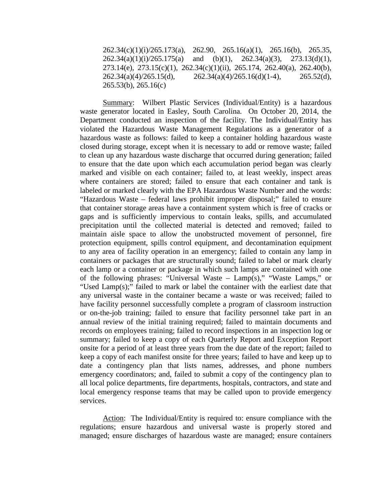262.34(c)(1)(i)/265.173(a), 262.90, 265.16(a)(1), 265.16(b), 265.35,  $262.34(a)(1)(i)/265.175(a)$  and (b)(1),  $262.34(a)(3)$ ,  $273.13(d)(1)$ , 273.14(e), 273.15(c)(1), 262.34(c)(1)(ii), 265.174, 262.40(a), 262.40(b),  $262.34(a)(4)/265.15(d),$   $262.34(a)(4)/265.16(d)(1-4),$   $265.52(d),$ 265.53(b), 265.16(c)

Summary: Wilbert Plastic Services (Individual/Entity) is a hazardous waste generator located in Easley, South Carolina. On October 20, 2014, the Department conducted an inspection of the facility. The Individual/Entity has violated the Hazardous Waste Management Regulations as a generator of a hazardous waste as follows: failed to keep a container holding hazardous waste closed during storage, except when it is necessary to add or remove waste; failed to clean up any hazardous waste discharge that occurred during generation; failed to ensure that the date upon which each accumulation period began was clearly marked and visible on each container; failed to, at least weekly, inspect areas where containers are stored; failed to ensure that each container and tank is labeled or marked clearly with the EPA Hazardous Waste Number and the words: "Hazardous Waste – federal laws prohibit improper disposal;" failed to ensure that container storage areas have a containment system which is free of cracks or gaps and is sufficiently impervious to contain leaks, spills, and accumulated precipitation until the collected material is detected and removed; failed to maintain aisle space to allow the unobstructed movement of personnel, fire protection equipment, spills control equipment, and decontamination equipment to any area of facility operation in an emergency; failed to contain any lamp in containers or packages that are structurally sound; failed to label or mark clearly each lamp or a container or package in which such lamps are contained with one of the following phrases: "Universal Waste –  $Lamp(s)$ ," "Waste Lamps," or "Used Lamp(s);" failed to mark or label the container with the earliest date that any universal waste in the container became a waste or was received; failed to have facility personnel successfully complete a program of classroom instruction or on-the-job training; failed to ensure that facility personnel take part in an annual review of the initial training required; failed to maintain documents and records on employees training; failed to record inspections in an inspection log or summary; failed to keep a copy of each Quarterly Report and Exception Report onsite for a period of at least three years from the due date of the report; failed to keep a copy of each manifest onsite for three years; failed to have and keep up to date a contingency plan that lists names, addresses, and phone numbers emergency coordinators; and, failed to submit a copy of the contingency plan to all local police departments, fire departments, hospitals, contractors, and state and local emergency response teams that may be called upon to provide emergency services.

Action: The Individual/Entity is required to: ensure compliance with the regulations; ensure hazardous and universal waste is properly stored and managed; ensure discharges of hazardous waste are managed; ensure containers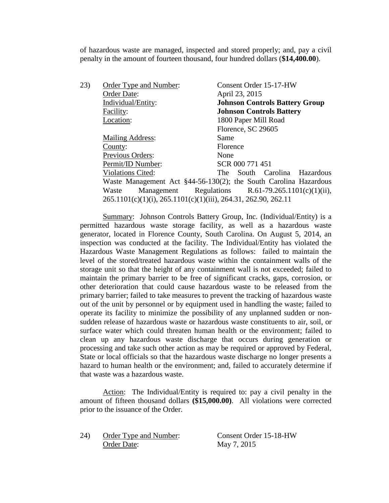of hazardous waste are managed, inspected and stored properly; and, pay a civil penalty in the amount of fourteen thousand, four hundred dollars (**\$14,400.00**).

| 23) | Order Type and Number:                                         | Consent Order 15-17-HW                                               |
|-----|----------------------------------------------------------------|----------------------------------------------------------------------|
|     | Order Date:                                                    | April 23, 2015                                                       |
|     | Individual/Entity:                                             | <b>Johnson Controls Battery Group</b>                                |
|     | Facility:                                                      | <b>Johnson Controls Battery</b>                                      |
|     | Location:                                                      | 1800 Paper Mill Road                                                 |
|     |                                                                | Florence, SC 29605                                                   |
|     | <b>Mailing Address:</b>                                        | Same                                                                 |
|     | County:                                                        | Florence                                                             |
|     | Previous Orders:                                               | None                                                                 |
|     | Permit/ID Number:                                              | SCR 000 771 451                                                      |
|     | <b>Violations Cited:</b>                                       | South Carolina Hazardous<br>The                                      |
|     |                                                                | Waste Management Act $\S$ 44-56-130(2); the South Carolina Hazardous |
|     | Waste                                                          | Management Regulations $R.61-79.265.1101(c)(1)(ii)$ ,                |
|     | 265.1101(c)(1)(i), 265.1101(c)(1)(iii), 264.31, 262.90, 262.11 |                                                                      |

Summary: Johnson Controls Battery Group, Inc. (Individual/Entity) is a permitted hazardous waste storage facility, as well as a hazardous waste generator, located in Florence County, South Carolina. On August 5, 2014, an inspection was conducted at the facility. The Individual/Entity has violated the Hazardous Waste Management Regulations as follows: failed to maintain the level of the stored/treated hazardous waste within the containment walls of the storage unit so that the height of any containment wall is not exceeded; failed to maintain the primary barrier to be free of significant cracks, gaps, corrosion, or other deterioration that could cause hazardous waste to be released from the primary barrier; failed to take measures to prevent the tracking of hazardous waste out of the unit by personnel or by equipment used in handling the waste; failed to operate its facility to minimize the possibility of any unplanned sudden or nonsudden release of hazardous waste or hazardous waste constituents to air, soil, or surface water which could threaten human health or the environment; failed to clean up any hazardous waste discharge that occurs during generation or processing and take such other action as may be required or approved by Federal, State or local officials so that the hazardous waste discharge no longer presents a hazard to human health or the environment; and, failed to accurately determine if that waste was a hazardous waste.

Action: The Individual/Entity is required to: pay a civil penalty in the amount of fifteen thousand dollars **(\$15,000.00)**. All violations were corrected prior to the issuance of the Order.

24) Order Type and Number: Consent Order 15-18-HW Order Date: May 7, 2015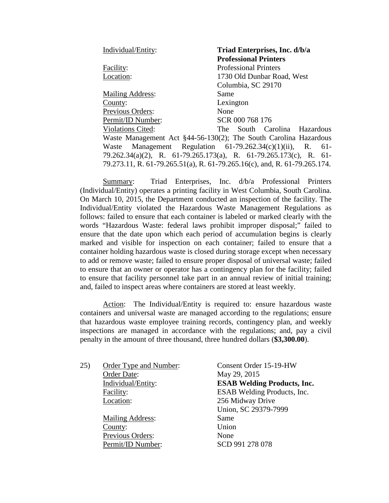| Individual/Entity:       | Triad Enterprises, Inc. d/b/a                                             |
|--------------------------|---------------------------------------------------------------------------|
|                          | <b>Professional Printers</b>                                              |
| Facility:                | <b>Professional Printers</b>                                              |
| Location:                | 1730 Old Dunbar Road, West                                                |
|                          | Columbia, SC 29170                                                        |
| <b>Mailing Address:</b>  | Same                                                                      |
| County:                  | Lexington                                                                 |
| Previous Orders:         | None                                                                      |
| Permit/ID Number:        | SCR 000 768 176                                                           |
| <b>Violations Cited:</b> | The South Carolina Hazardous                                              |
|                          | Waste Management Act §44-56-130(2); The South Carolina Hazardous          |
|                          | Waste Management Regulation $61-79.262.34(c)(1)(ii)$ , R. $61-$           |
|                          | 79.262.34(a)(2), R. 61-79.265.173(a), R. 61-79.265.173(c), R. 61-         |
|                          | 79.273.11, R. 61-79.265.51(a), R. 61-79.265.16(c), and, R. 61-79.265.174. |

Summary: Triad Enterprises, Inc. d/b/a Professional Printers (Individual/Entity) operates a printing facility in West Columbia, South Carolina. On March 10, 2015, the Department conducted an inspection of the facility. The Individual/Entity violated the Hazardous Waste Management Regulations as follows: failed to ensure that each container is labeled or marked clearly with the words "Hazardous Waste: federal laws prohibit improper disposal;" failed to ensure that the date upon which each period of accumulation begins is clearly marked and visible for inspection on each container; failed to ensure that a container holding hazardous waste is closed during storage except when necessary to add or remove waste; failed to ensure proper disposal of universal waste; failed to ensure that an owner or operator has a contingency plan for the facility; failed to ensure that facility personnel take part in an annual review of initial training; and, failed to inspect areas where containers are stored at least weekly.

Action: The Individual/Entity is required to: ensure hazardous waste containers and universal waste are managed according to the regulations; ensure that hazardous waste employee training records, contingency plan, and weekly inspections are managed in accordance with the regulations; and, pay a civil penalty in the amount of three thousand, three hundred dollars (**\$3,300.00**).

| 25) | Order Type and Number:  | Consent Order 15-19-HW             |
|-----|-------------------------|------------------------------------|
|     | Order Date:             | May 29, 2015                       |
|     | Individual/Entity:      | <b>ESAB Welding Products, Inc.</b> |
|     | Facility:               | ESAB Welding Products, Inc.        |
|     | Location:               | 256 Midway Drive                   |
|     |                         | Union, SC 29379-7999               |
|     | <b>Mailing Address:</b> | Same                               |
|     | County:                 | Union                              |
|     | Previous Orders:        | None                               |
|     | Permit/ID Number:       | SCD 991 278 078                    |
|     |                         |                                    |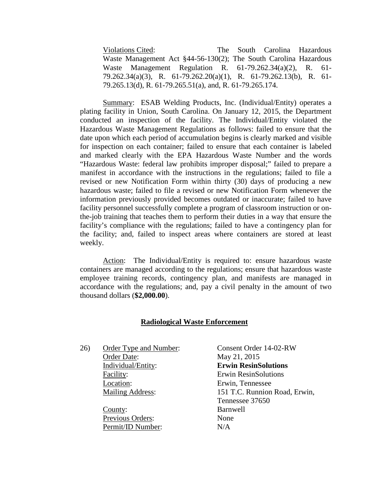Violations Cited: The South Carolina Hazardous Waste Management Act §44-56-130(2); The South Carolina Hazardous Waste Management Regulation R. 61-79.262.34(a)(2), R. 61- 79.262.34(a)(3), R. 61-79.262.20(a)(1), R. 61-79.262.13(b), R. 61- 79.265.13(d), R. 61-79.265.51(a), and, R. 61-79.265.174.

Summary: ESAB Welding Products, Inc. (Individual/Entity) operates a plating facility in Union, South Carolina. On January 12, 2015, the Department conducted an inspection of the facility. The Individual/Entity violated the Hazardous Waste Management Regulations as follows: failed to ensure that the date upon which each period of accumulation begins is clearly marked and visible for inspection on each container; failed to ensure that each container is labeled and marked clearly with the EPA Hazardous Waste Number and the words "Hazardous Waste: federal law prohibits improper disposal;" failed to prepare a manifest in accordance with the instructions in the regulations; failed to file a revised or new Notification Form within thirty (30) days of producing a new hazardous waste; failed to file a revised or new Notification Form whenever the information previously provided becomes outdated or inaccurate; failed to have facility personnel successfully complete a program of classroom instruction or onthe-job training that teaches them to perform their duties in a way that ensure the facility's compliance with the regulations; failed to have a contingency plan for the facility; and, failed to inspect areas where containers are stored at least weekly.

Action: The Individual/Entity is required to: ensure hazardous waste containers are managed according to the regulations; ensure that hazardous waste employee training records, contingency plan, and manifests are managed in accordance with the regulations; and, pay a civil penalty in the amount of two thousand dollars (**\$2,000.00**).

# **Radiological Waste Enforcement**

26) Order Type and Number: Consent Order 14-02-RW Order Date: May 21, 2015 Individual/Entity: **Erwin ResinSolutions** Facility: Erwin ResinSolutions Location: Erwin, Tennessee

> County: Barnwell Previous Orders: None Permit/ID Number: N/A

Mailing Address: 151 T.C. Runnion Road, Erwin, Tennessee 37650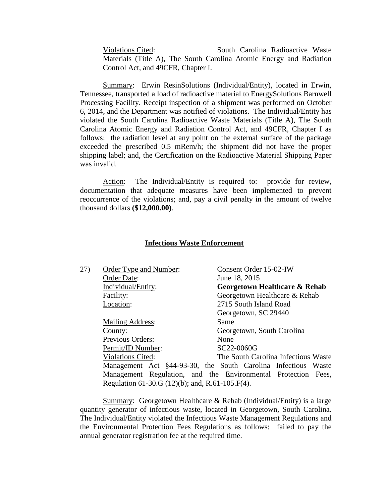Violations Cited: South Carolina Radioactive Waste Materials (Title A), The South Carolina Atomic Energy and Radiation Control Act, and 49CFR, Chapter I.

Summary: Erwin ResinSolutions (Individual/Entity), located in Erwin, Tennessee, transported a load of radioactive material to EnergySolutions Barnwell Processing Facility. Receipt inspection of a shipment was performed on October 6, 2014, and the Department was notified of violations. The Individual/Entity has violated the South Carolina Radioactive Waste Materials (Title A), The South Carolina Atomic Energy and Radiation Control Act, and 49CFR, Chapter I as follows: the radiation level at any point on the external surface of the package exceeded the prescribed 0.5 mRem/h; the shipment did not have the proper shipping label; and, the Certification on the Radioactive Material Shipping Paper was invalid.

Action: The Individual/Entity is required to: provide for review, documentation that adequate measures have been implemented to prevent reoccurrence of the violations; and, pay a civil penalty in the amount of twelve thousand dollars **(\$12,000.00)**.

#### **Infectious Waste Enforcement**

| 27) | Order Type and Number:                             | Consent Order 15-02-IW                                        |
|-----|----------------------------------------------------|---------------------------------------------------------------|
|     | Order Date:                                        | June 18, 2015                                                 |
|     | Individual/Entity:                                 | Georgetown Healthcare & Rehab                                 |
|     | Facility:                                          | Georgetown Healthcare & Rehab                                 |
|     | Location:                                          | 2715 South Island Road                                        |
|     |                                                    | Georgetown, SC 29440                                          |
|     | <b>Mailing Address:</b>                            | Same                                                          |
|     | County:                                            | Georgetown, South Carolina                                    |
|     | Previous Orders:                                   | None                                                          |
|     | Permit/ID Number:                                  | SC22-0060G                                                    |
|     | <b>Violations Cited:</b>                           | The South Carolina Infectious Waste                           |
|     |                                                    | Management Act §44-93-30, the South Carolina Infectious Waste |
|     |                                                    | Management Regulation, and the Environmental Protection Fees, |
|     | Regulation 61-30.G $(12)(b)$ ; and, R.61-105.F(4). |                                                               |
|     |                                                    |                                                               |

Summary: Georgetown Healthcare & Rehab (Individual/Entity) is a large quantity generator of infectious waste, located in Georgetown, South Carolina. The Individual/Entity violated the Infectious Waste Management Regulations and the Environmental Protection Fees Regulations as follows: failed to pay the annual generator registration fee at the required time.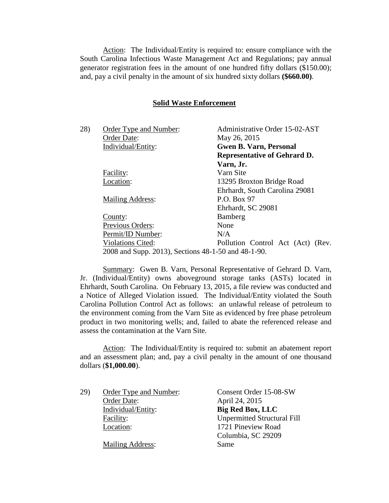Action: The Individual/Entity is required to: ensure compliance with the South Carolina Infectious Waste Management Act and Regulations; pay annual generator registration fees in the amount of one hundred fifty dollars (\$150.00); and, pay a civil penalty in the amount of six hundred sixty dollars **(\$660.00)**.

#### **Solid Waste Enforcement**

| 28) | Order Type and Number:                              | Administrative Order 15-02-AST      |
|-----|-----------------------------------------------------|-------------------------------------|
|     | Order Date:                                         | May 26, 2015                        |
|     | Individual/Entity:                                  | <b>Gwen B. Varn, Personal</b>       |
|     |                                                     | <b>Representative of Gehrard D.</b> |
|     |                                                     | Varn, Jr.                           |
|     | Facility:                                           | Varn Site                           |
|     | Location:                                           | 13295 Broxton Bridge Road           |
|     |                                                     | Ehrhardt, South Carolina 29081      |
|     | <b>Mailing Address:</b>                             | P.O. Box 97                         |
|     |                                                     | Ehrhardt, SC 29081                  |
|     | County:                                             | Bamberg                             |
|     | Previous Orders:                                    | None                                |
|     | Permit/ID Number:                                   | N/A                                 |
|     | <b>Violations Cited:</b>                            | Pollution Control Act (Act) (Rev.   |
|     | 2008 and Supp. 2013), Sections 48-1-50 and 48-1-90. |                                     |

Summary: Gwen B. Varn, Personal Representative of Gehrard D. Varn, Jr. (Individual/Entity) owns aboveground storage tanks (ASTs) located in Ehrhardt, South Carolina. On February 13, 2015, a file review was conducted and a Notice of Alleged Violation issued. The Individual/Entity violated the South Carolina Pollution Control Act as follows: an unlawful release of petroleum to the environment coming from the Varn Site as evidenced by free phase petroleum product in two monitoring wells; and, failed to abate the referenced release and assess the contamination at the Varn Site.

Action: The Individual/Entity is required to: submit an abatement report and an assessment plan; and, pay a civil penalty in the amount of one thousand dollars (**\$1,000.00**).

| 29) | Order Type and Number:  | Consent Order 15-08-SW             |
|-----|-------------------------|------------------------------------|
|     | Order Date:             | April 24, 2015                     |
|     | Individual/Entity:      | <b>Big Red Box, LLC</b>            |
|     | Facility:               | <b>Unpermitted Structural Fill</b> |
|     | Location:               | 1721 Pineview Road                 |
|     |                         | Columbia, SC 29209                 |
|     | <b>Mailing Address:</b> | Same                               |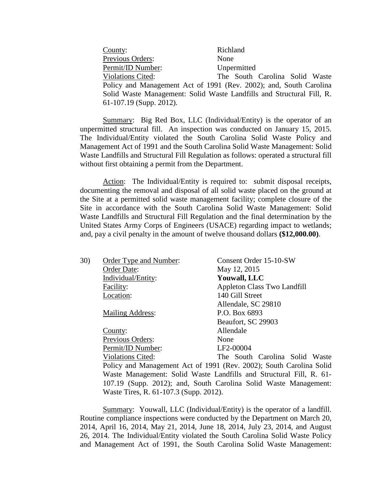| County:                  | Richland                                                              |
|--------------------------|-----------------------------------------------------------------------|
| Previous Orders:         | None                                                                  |
| Permit/ID Number:        | Unpermitted                                                           |
| <b>Violations Cited:</b> | The South Carolina Solid Waste                                        |
|                          | Policy and Management Act of 1991 (Rev. 2002); and, South Carolina    |
|                          | Solid Waste Management: Solid Waste Landfills and Structural Fill, R. |
| 61-107.19 (Supp. 2012).  |                                                                       |

Summary: Big Red Box, LLC (Individual/Entity) is the operator of an unpermitted structural fill. An inspection was conducted on January 15, 2015. The Individual/Entity violated the South Carolina Solid Waste Policy and Management Act of 1991 and the South Carolina Solid Waste Management: Solid Waste Landfills and Structural Fill Regulation as follows: operated a structural fill without first obtaining a permit from the Department.

Action: The Individual/Entity is required to: submit disposal receipts, documenting the removal and disposal of all solid waste placed on the ground at the Site at a permitted solid waste management facility; complete closure of the Site in accordance with the South Carolina Solid Waste Management: Solid Waste Landfills and Structural Fill Regulation and the final determination by the United States Army Corps of Engineers (USACE) regarding impact to wetlands; and, pay a civil penalty in the amount of twelve thousand dollars **(\$12,000.00)**.

| 30) | Order Type and Number:                 | Consent Order 15-10-SW                                              |
|-----|----------------------------------------|---------------------------------------------------------------------|
|     | Order Date:                            | May 12, 2015                                                        |
|     | Individual/Entity:                     | <b>Youwall, LLC</b>                                                 |
|     | Facility:                              | Appleton Class Two Landfill                                         |
|     | Location:                              | 140 Gill Street                                                     |
|     |                                        | Allendale, SC 29810                                                 |
|     | <b>Mailing Address:</b>                | P.O. Box 6893                                                       |
|     |                                        | Beaufort, SC 29903                                                  |
|     | County:                                | Allendale                                                           |
|     | Previous Orders:                       | None                                                                |
|     | Permit/ID Number:                      | LF2-00004                                                           |
|     | <b>Violations Cited:</b>               | The South Carolina Solid Waste                                      |
|     |                                        | Policy and Management Act of 1991 (Rev. 2002); South Carolina Solid |
|     |                                        | Waste Management: Solid Waste Landfills and Structural Fill, R. 61- |
|     |                                        | 107.19 (Supp. 2012); and, South Carolina Solid Waste Management:    |
|     | Waste Tires, R. 61-107.3 (Supp. 2012). |                                                                     |

Summary: Youwall, LLC (Individual/Entity) is the operator of a landfill. Routine compliance inspections were conducted by the Department on March 20, 2014, April 16, 2014, May 21, 2014, June 18, 2014, July 23, 2014, and August 26, 2014. The Individual/Entity violated the South Carolina Solid Waste Policy and Management Act of 1991, the South Carolina Solid Waste Management: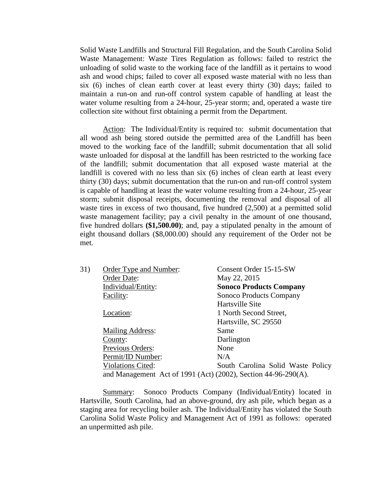Solid Waste Landfills and Structural Fill Regulation, and the South Carolina Solid Waste Management: Waste Tires Regulation as follows: failed to restrict the unloading of solid waste to the working face of the landfill as it pertains to wood ash and wood chips; failed to cover all exposed waste material with no less than six (6) inches of clean earth cover at least every thirty (30) days; failed to maintain a run-on and run-off control system capable of handling at least the water volume resulting from a 24-hour, 25-year storm; and, operated a waste tire collection site without first obtaining a permit from the Department.

Action: The Individual/Entity is required to: submit documentation that all wood ash being stored outside the permitted area of the Landfill has been moved to the working face of the landfill; submit documentation that all solid waste unloaded for disposal at the landfill has been restricted to the working face of the landfill; submit documentation that all exposed waste material at the landfill is covered with no less than six (6) inches of clean earth at least every thirty (30) days; submit documentation that the run-on and run-off control system is capable of handling at least the water volume resulting from a 24-hour, 25-year storm; submit disposal receipts, documenting the removal and disposal of all waste tires in excess of two thousand, five hundred (2,500) at a permitted solid waste management facility; pay a civil penalty in the amount of one thousand, five hundred dollars **(\$1,500.00)**; and, pay a stipulated penalty in the amount of eight thousand dollars (\$8,000.00) should any requirement of the Order not be met.

| 31) | Order Type and Number:                                         | Consent Order 15-15-SW            |
|-----|----------------------------------------------------------------|-----------------------------------|
|     | Order Date:                                                    | May 22, 2015                      |
|     | Individual/Entity:                                             | <b>Sonoco Products Company</b>    |
|     | Facility:                                                      | Sonoco Products Company           |
|     |                                                                | Hartsville Site                   |
|     | Location:                                                      | 1 North Second Street,            |
|     |                                                                | Hartsville, SC 29550              |
|     | <b>Mailing Address:</b>                                        | Same                              |
|     | County:                                                        | Darlington                        |
|     | Previous Orders:                                               | None                              |
|     | Permit/ID Number:                                              | N/A                               |
|     | <b>Violations Cited:</b>                                       | South Carolina Solid Waste Policy |
|     | and Management Act of 1991 (Act) (2002), Section 44-96-290(A). |                                   |

Summary: Sonoco Products Company (Individual/Entity) located in Hartsville, South Carolina, had an above-ground, dry ash pile, which began as a staging area for recycling boiler ash. The Individual/Entity has violated the South Carolina Solid Waste Policy and Management Act of 1991 as follows: operated an unpermitted ash pile.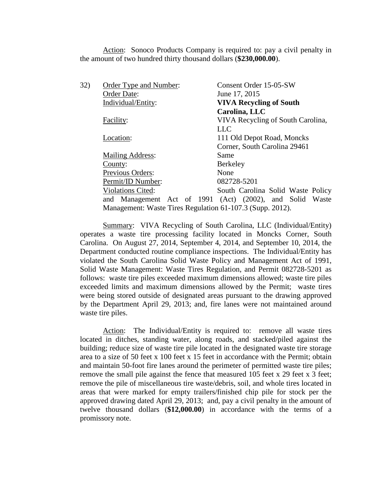Action: Sonoco Products Company is required to: pay a civil penalty in the amount of two hundred thirty thousand dollars (**\$230,000.00**).

| 32) | Order Type and Number:                                    | Consent Order 15-05-SW                                   |
|-----|-----------------------------------------------------------|----------------------------------------------------------|
|     | Order Date:                                               | June 17, 2015                                            |
|     | Individual/Entity:                                        | <b>VIVA Recycling of South</b>                           |
|     |                                                           | Carolina, LLC                                            |
|     | Facility:                                                 | VIVA Recycling of South Carolina,                        |
|     |                                                           | <b>LLC</b>                                               |
|     | Location:                                                 | 111 Old Depot Road, Moncks                               |
|     |                                                           | Corner, South Carolina 29461                             |
|     | <b>Mailing Address:</b>                                   | Same                                                     |
|     | County:                                                   | Berkeley                                                 |
|     | Previous Orders:                                          | None                                                     |
|     | Permit/ID Number:                                         | 082728-5201                                              |
|     | <b>Violations Cited:</b>                                  | South Carolina Solid Waste Policy                        |
|     |                                                           | and Management Act of 1991 (Act) (2002), and Solid Waste |
|     | Management: Waste Tires Regulation 61-107.3 (Supp. 2012). |                                                          |

Summary: VIVA Recycling of South Carolina, LLC (Individual/Entity) operates a waste tire processing facility located in Moncks Corner, South Carolina. On August 27, 2014, September 4, 2014, and September 10, 2014, the Department conducted routine compliance inspections. The Individual/Entity has violated the South Carolina Solid Waste Policy and Management Act of 1991, Solid Waste Management: Waste Tires Regulation, and Permit 082728-5201 as follows: waste tire piles exceeded maximum dimensions allowed; waste tire piles exceeded limits and maximum dimensions allowed by the Permit; waste tires were being stored outside of designated areas pursuant to the drawing approved by the Department April 29, 2013; and, fire lanes were not maintained around waste tire piles.

Action: The Individual/Entity is required to: remove all waste tires located in ditches, standing water, along roads, and stacked/piled against the building; reduce size of waste tire pile located in the designated waste tire storage area to a size of 50 feet x 100 feet x 15 feet in accordance with the Permit; obtain and maintain 50-foot fire lanes around the perimeter of permitted waste tire piles; remove the small pile against the fence that measured 105 feet x 29 feet x 3 feet; remove the pile of miscellaneous tire waste/debris, soil, and whole tires located in areas that were marked for empty trailers/finished chip pile for stock per the approved drawing dated April 29, 2013; and, pay a civil penalty in the amount of twelve thousand dollars (**\$12,000.00**) in accordance with the terms of a promissory note.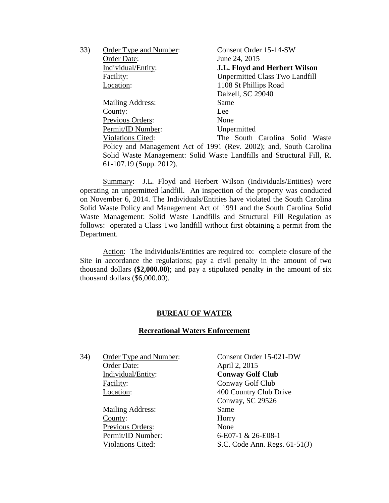| 33) | Order Type and Number:    | Consent Order 15-14-SW                                                |
|-----|---------------------------|-----------------------------------------------------------------------|
|     | Order Date:               | June 24, 2015                                                         |
|     | Individual/Entity:        | J.L. Floyd and Herbert Wilson                                         |
|     | Facility:                 | <b>Unpermitted Class Two Landfill</b>                                 |
|     | Location:                 | 1108 St Phillips Road                                                 |
|     |                           | Dalzell, SC 29040                                                     |
|     | <b>Mailing Address:</b>   | Same                                                                  |
|     | County:                   | Lee                                                                   |
|     | <b>Previous Orders:</b>   | None                                                                  |
|     | Permit/ID Number:         | Unpermitted                                                           |
|     | <b>Violations Cited:</b>  | The South Carolina Solid Waste                                        |
|     |                           | Policy and Management Act of 1991 (Rev. 2002); and, South Carolina    |
|     |                           | Solid Waste Management: Solid Waste Landfills and Structural Fill, R. |
|     | $61-107.19$ (Supp. 2012). |                                                                       |

Summary: J.L. Floyd and Herbert Wilson (Individuals/Entities) were operating an unpermitted landfill. An inspection of the property was conducted on November 6, 2014. The Individuals/Entities have violated the South Carolina Solid Waste Policy and Management Act of 1991 and the South Carolina Solid Waste Management: Solid Waste Landfills and Structural Fill Regulation as follows: operated a Class Two landfill without first obtaining a permit from the Department.

Action: The Individuals/Entities are required to: complete closure of the Site in accordance the regulations; pay a civil penalty in the amount of two thousand dollars **(\$2,000.00)**; and pay a stipulated penalty in the amount of six thousand dollars (\$6,000.00).

### **BUREAU OF WATER**

#### **Recreational Waters Enforcement**

34) Order Type and Number: Consent Order 15-021-DW Order Date: April 2, 2015 Individual/Entity: **Conway Golf Club** Facility: Conway Golf Club

> Mailing Address: Same County: Horry Previous Orders: None

 Location: 400 Country Club Drive Conway, SC 29526 Permit/ID Number: 6-E07-1 & 26-E08-1 Violations Cited: S.C. Code Ann. Regs. 61-51(J)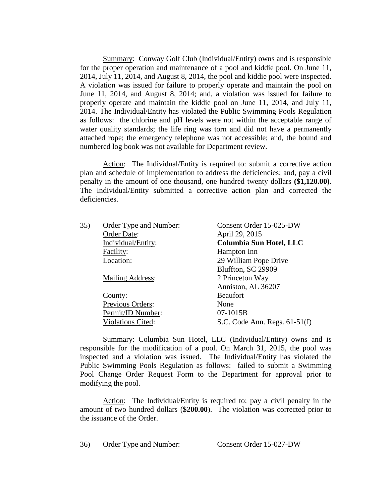Summary: Conway Golf Club (Individual/Entity) owns and is responsible for the proper operation and maintenance of a pool and kiddie pool. On June 11, 2014, July 11, 2014, and August 8, 2014, the pool and kiddie pool were inspected. A violation was issued for failure to properly operate and maintain the pool on June 11, 2014, and August 8, 2014; and, a violation was issued for failure to properly operate and maintain the kiddie pool on June 11, 2014, and July 11, 2014. The Individual/Entity has violated the Public Swimming Pools Regulation as follows: the chlorine and pH levels were not within the acceptable range of water quality standards; the life ring was torn and did not have a permanently attached rope; the emergency telephone was not accessible; and, the bound and numbered log book was not available for Department review.

Action: The Individual/Entity is required to: submit a corrective action plan and schedule of implementation to address the deficiencies; and, pay a civil penalty in the amount of one thousand, one hundred twenty dollars **(\$1,120.00)**. The Individual/Entity submitted a corrective action plan and corrected the deficiencies.

| 35) | Order Type and Number:   | Consent Order 15-025-DW         |
|-----|--------------------------|---------------------------------|
|     | Order Date:              | April 29, 2015                  |
|     | Individual/Entity:       | Columbia Sun Hotel, LLC         |
|     | Facility:                | Hampton Inn                     |
|     | Location:                | 29 William Pope Drive           |
|     |                          | Bluffton, SC 29909              |
|     | <b>Mailing Address:</b>  | 2 Princeton Way                 |
|     |                          | Anniston, AL 36207              |
|     | County:                  | <b>Beaufort</b>                 |
|     | Previous Orders:         | None                            |
|     | Permit/ID Number:        | 07-1015B                        |
|     | <b>Violations Cited:</b> | S.C. Code Ann. Regs. $61-51(I)$ |

Summary: Columbia Sun Hotel, LLC (Individual/Entity) owns and is responsible for the modification of a pool. On March 31, 2015, the pool was inspected and a violation was issued. The Individual/Entity has violated the Public Swimming Pools Regulation as follows: failed to submit a Swimming Pool Change Order Request Form to the Department for approval prior to modifying the pool.

Action: The Individual/Entity is required to: pay a civil penalty in the amount of two hundred dollars (**\$200.00**). The violation was corrected prior to the issuance of the Order.

36) Order Type and Number: Consent Order 15-027-DW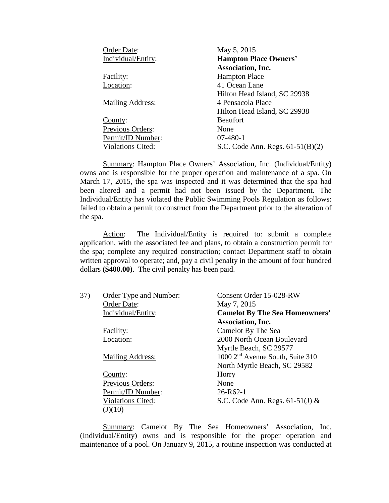| Order Date:              | May 5, 2015                        |
|--------------------------|------------------------------------|
| Individual/Entity:       | <b>Hampton Place Owners'</b>       |
|                          | <b>Association</b> , Inc.          |
| Facility:                | <b>Hampton Place</b>               |
| Location:                | 41 Ocean Lane                      |
|                          | Hilton Head Island, SC 29938       |
| <b>Mailing Address:</b>  | 4 Pensacola Place                  |
|                          | Hilton Head Island, SC 29938       |
| County:                  | <b>Beaufort</b>                    |
| Previous Orders:         | None                               |
| Permit/ID Number:        | $07-480-1$                         |
| <b>Violations Cited:</b> | S.C. Code Ann. Regs. $61-51(B)(2)$ |

Summary: Hampton Place Owners' Association, Inc. (Individual/Entity) owns and is responsible for the proper operation and maintenance of a spa. On March 17, 2015, the spa was inspected and it was determined that the spa had been altered and a permit had not been issued by the Department. The Individual/Entity has violated the Public Swimming Pools Regulation as follows: failed to obtain a permit to construct from the Department prior to the alteration of the spa.

Action: The Individual/Entity is required to: submit a complete application, with the associated fee and plans, to obtain a construction permit for the spa; complete any required construction; contact Department staff to obtain written approval to operate; and, pay a civil penalty in the amount of four hundred dollars **(\$400.00)**. The civil penalty has been paid.

| 37) | Order Type and Number:   | Consent Order 15-028-RW                      |
|-----|--------------------------|----------------------------------------------|
|     | Order Date:              | May 7, 2015                                  |
|     | Individual/Entity:       | <b>Camelot By The Sea Homeowners'</b>        |
|     |                          | <b>Association</b> , Inc.                    |
|     | Facility:                | Camelot By The Sea                           |
|     | Location:                | 2000 North Ocean Boulevard                   |
|     |                          | Myrtle Beach, SC 29577                       |
|     | <b>Mailing Address:</b>  | 1000 2 <sup>nd</sup> Avenue South, Suite 310 |
|     |                          | North Myrtle Beach, SC 29582                 |
|     | County:                  | Horry                                        |
|     | Previous Orders:         | None                                         |
|     | Permit/ID Number:        | $26 - R62 - 1$                               |
|     | <b>Violations Cited:</b> | S.C. Code Ann. Regs. $61-51(J)$ &            |
|     | (J)(10)                  |                                              |

Summary: Camelot By The Sea Homeowners' Association, Inc. (Individual/Entity) owns and is responsible for the proper operation and maintenance of a pool. On January 9, 2015, a routine inspection was conducted at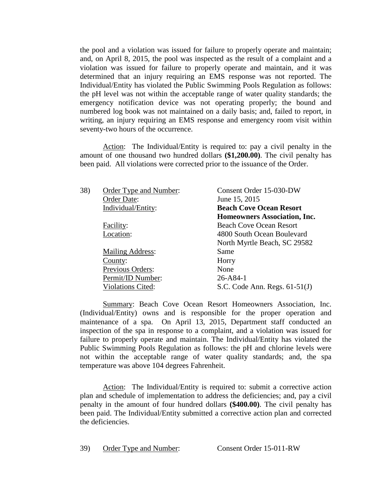the pool and a violation was issued for failure to properly operate and maintain; and, on April 8, 2015, the pool was inspected as the result of a complaint and a violation was issued for failure to properly operate and maintain, and it was determined that an injury requiring an EMS response was not reported. The Individual/Entity has violated the Public Swimming Pools Regulation as follows: the pH level was not within the acceptable range of water quality standards; the emergency notification device was not operating properly; the bound and numbered log book was not maintained on a daily basis; and, failed to report, in writing, an injury requiring an EMS response and emergency room visit within seventy-two hours of the occurrence.

Action: The Individual/Entity is required to: pay a civil penalty in the amount of one thousand two hundred dollars **(\$1,200.00)**. The civil penalty has been paid. All violations were corrected prior to the issuance of the Order.

| Order Type and Number:<br>Order Date: | Consent Order 15-030-DW<br>June 15, 2015 |
|---------------------------------------|------------------------------------------|
| Individual/Entity:                    | <b>Beach Cove Ocean Resort</b>           |
|                                       | <b>Homeowners Association, Inc.</b>      |
| Facility:                             | <b>Beach Cove Ocean Resort</b>           |
| Location:                             | 4800 South Ocean Boulevard               |
|                                       | North Myrtle Beach, SC 29582             |
| <b>Mailing Address:</b>               | Same                                     |
| County:                               | Horry                                    |
| Previous Orders:                      | None                                     |
| Permit/ID Number:                     | $26 - A84 - 1$                           |
| <b>Violations Cited:</b>              | S.C. Code Ann. Regs. $61-51(J)$          |
|                                       |                                          |

Summary: Beach Cove Ocean Resort Homeowners Association, Inc. (Individual/Entity) owns and is responsible for the proper operation and maintenance of a spa. On April 13, 2015, Department staff conducted an inspection of the spa in response to a complaint, and a violation was issued for failure to properly operate and maintain. The Individual/Entity has violated the Public Swimming Pools Regulation as follows: the pH and chlorine levels were not within the acceptable range of water quality standards; and, the spa temperature was above 104 degrees Fahrenheit.

Action: The Individual/Entity is required to: submit a corrective action plan and schedule of implementation to address the deficiencies; and, pay a civil penalty in the amount of four hundred dollars **(\$400.00)**. The civil penalty has been paid. The Individual/Entity submitted a corrective action plan and corrected the deficiencies.

39) Order Type and Number: Consent Order 15-011-RW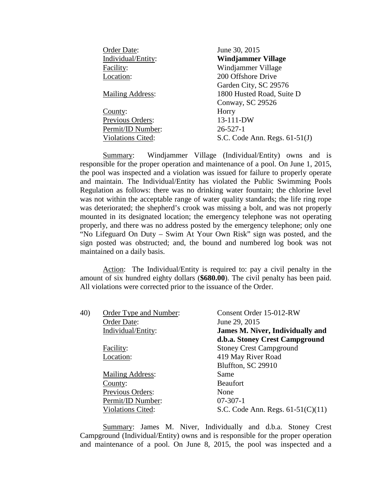| Order Date:              | June 30, 2015                   |
|--------------------------|---------------------------------|
| Individual/Entity:       | <b>Windjammer Village</b>       |
| Facility:                | Windjammer Village              |
| Location:                | 200 Offshore Drive              |
|                          | Garden City, SC 29576           |
| <b>Mailing Address:</b>  | 1800 Husted Road, Suite D       |
|                          | Conway, SC 29526                |
| County:                  | Horry                           |
| Previous Orders:         | 13-111-DW                       |
| Permit/ID Number:        | $26 - 527 - 1$                  |
| <b>Violations Cited:</b> | S.C. Code Ann. Regs. $61-51(J)$ |

Summary: Windjammer Village (Individual/Entity) owns and is responsible for the proper operation and maintenance of a pool. On June 1, 2015, the pool was inspected and a violation was issued for failure to properly operate and maintain. The Individual/Entity has violated the Public Swimming Pools Regulation as follows: there was no drinking water fountain; the chlorine level was not within the acceptable range of water quality standards; the life ring rope was deteriorated; the shepherd's crook was missing a bolt, and was not properly mounted in its designated location; the emergency telephone was not operating properly, and there was no address posted by the emergency telephone; only one "No Lifeguard On Duty – Swim At Your Own Risk" sign was posted, and the sign posted was obstructed; and, the bound and numbered log book was not maintained on a daily basis.

Action: The Individual/Entity is required to: pay a civil penalty in the amount of six hundred eighty dollars (**\$680.00**). The civil penalty has been paid. All violations were corrected prior to the issuance of the Order.

| 40) | Order Type and Number:  | Consent Order 15-012-RW                 |
|-----|-------------------------|-----------------------------------------|
|     | Order Date:             | June 29, 2015                           |
|     | Individual/Entity:      | <b>James M. Niver, Individually and</b> |
|     |                         | d.b.a. Stoney Crest Campground          |
|     | Facility:               | <b>Stoney Crest Campground</b>          |
|     | Location:               | 419 May River Road                      |
|     |                         | Bluffton, SC 29910                      |
|     | <b>Mailing Address:</b> | Same                                    |
|     | County:                 | <b>Beaufort</b>                         |
|     | Previous Orders:        | None                                    |
|     | Permit/ID Number:       | $07-307-1$                              |
|     | Violations Cited:       | S.C. Code Ann. Regs. $61-51(C)(11)$     |

Summary: James M. Niver, Individually and d.b.a. Stoney Crest Campground (Individual/Entity) owns and is responsible for the proper operation and maintenance of a pool. On June 8, 2015, the pool was inspected and a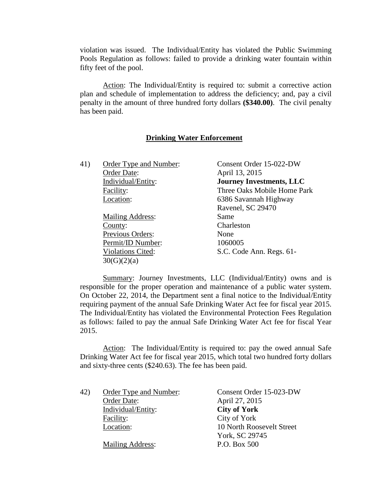violation was issued. The Individual/Entity has violated the Public Swimming Pools Regulation as follows: failed to provide a drinking water fountain within fifty feet of the pool.

Action: The Individual/Entity is required to: submit a corrective action plan and schedule of implementation to address the deficiency; and, pay a civil penalty in the amount of three hundred forty dollars **(\$340.00)**. The civil penalty has been paid.

# **Drinking Water Enforcement**

| 41) | Order Type and Number:   | Consent Order 15-022-DW         |
|-----|--------------------------|---------------------------------|
|     | Order Date:              | April 13, 2015                  |
|     | Individual/Entity:       | <b>Journey Investments, LLC</b> |
|     | Facility:                | Three Oaks Mobile Home Park     |
|     | Location:                | 6386 Savannah Highway           |
|     |                          | Ravenel, SC 29470               |
|     | <b>Mailing Address:</b>  | Same                            |
|     | County:                  | Charleston                      |
|     | Previous Orders:         | None                            |
|     | Permit/ID Number:        | 1060005                         |
|     | <b>Violations Cited:</b> | S.C. Code Ann. Regs. 61-        |
|     | 30(G)(2)(a)              |                                 |
|     |                          |                                 |

Summary: Journey Investments, LLC (Individual/Entity) owns and is responsible for the proper operation and maintenance of a public water system. On October 22, 2014, the Department sent a final notice to the Individual/Entity requiring payment of the annual Safe Drinking Water Act fee for fiscal year 2015. The Individual/Entity has violated the Environmental Protection Fees Regulation as follows: failed to pay the annual Safe Drinking Water Act fee for fiscal Year 2015.

Action: The Individual/Entity is required to: pay the owed annual Safe Drinking Water Act fee for fiscal year 2015, which total two hundred forty dollars and sixty-three cents (\$240.63). The fee has been paid.

| Order Type and Number:  | Consent Order 15-023-DW   |
|-------------------------|---------------------------|
| Order Date:             | April 27, 2015            |
| Individual/Entity:      | <b>City of York</b>       |
| Facility:               | City of York              |
| Location:               | 10 North Roosevelt Street |
|                         | York, SC 29745            |
| <b>Mailing Address:</b> | P.O. Box 500              |
|                         |                           |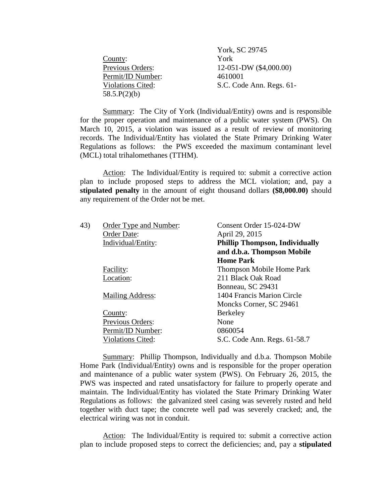|                          | York, SC 29745           |
|--------------------------|--------------------------|
| County:                  | York                     |
| Previous Orders:         | 12-051-DW (\$4,000.00)   |
| Permit/ID Number:        | 4610001                  |
| <b>Violations Cited:</b> | S.C. Code Ann. Regs. 61- |
| 58.5.P(2)(b)             |                          |

Summary: The City of York (Individual/Entity) owns and is responsible for the proper operation and maintenance of a public water system (PWS). On March 10, 2015, a violation was issued as a result of review of monitoring records. The Individual/Entity has violated the State Primary Drinking Water Regulations as follows: the PWS exceeded the maximum contaminant level (MCL) total trihalomethanes (TTHM).

Action: The Individual/Entity is required to: submit a corrective action plan to include proposed steps to address the MCL violation; and, pay a **stipulated penalty** in the amount of eight thousand dollars **(\$8,000.00)** should any requirement of the Order not be met.

| 43) | Order Type and Number:   | Consent Order 15-024-DW               |
|-----|--------------------------|---------------------------------------|
|     | Order Date:              | April 29, 2015                        |
|     | Individual/Entity:       | <b>Phillip Thompson, Individually</b> |
|     |                          | and d.b.a. Thompson Mobile            |
|     |                          | <b>Home Park</b>                      |
|     | Facility:                | <b>Thompson Mobile Home Park</b>      |
|     | Location:                | 211 Black Oak Road                    |
|     |                          | Bonneau, SC 29431                     |
|     | <b>Mailing Address:</b>  | 1404 Francis Marion Circle            |
|     |                          | Moncks Corner, SC 29461               |
|     | County:                  | <b>Berkeley</b>                       |
|     | Previous Orders:         | None                                  |
|     | Permit/ID Number:        | 0860054                               |
|     | <b>Violations Cited:</b> | S.C. Code Ann. Regs. 61-58.7          |
|     |                          |                                       |

Summary: Phillip Thompson, Individually and d.b.a. Thompson Mobile Home Park (Individual/Entity) owns and is responsible for the proper operation and maintenance of a public water system (PWS). On February 26, 2015, the PWS was inspected and rated unsatisfactory for failure to properly operate and maintain. The Individual/Entity has violated the State Primary Drinking Water Regulations as follows: the galvanized steel casing was severely rusted and held together with duct tape; the concrete well pad was severely cracked; and, the electrical wiring was not in conduit.

Action: The Individual/Entity is required to: submit a corrective action plan to include proposed steps to correct the deficiencies; and, pay a **stipulated**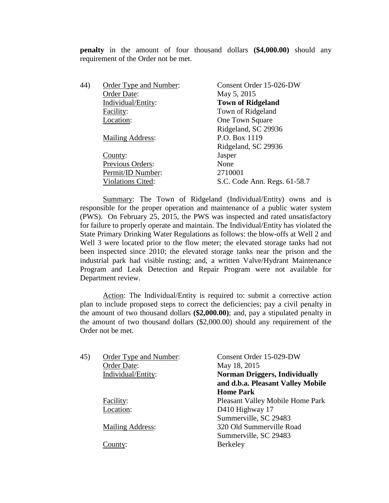**penalty** in the amount of four thousand dollars **(\$4,000.00)** should any requirement of the Order not be met.

| 44) | Order Type and Number:   | Consent Order 15-026-DW      |
|-----|--------------------------|------------------------------|
|     | Order Date:              | May 5, 2015                  |
|     | Individual/Entity:       | <b>Town of Ridgeland</b>     |
|     | Facility:                | Town of Ridgeland            |
|     | Location:                | One Town Square              |
|     |                          | Ridgeland, SC 29936          |
|     | <b>Mailing Address:</b>  | P.O. Box 1119                |
|     |                          | Ridgeland, SC 29936          |
|     | County:                  | Jasper                       |
|     | Previous Orders:         | None                         |
|     | Permit/ID Number:        | 2710001                      |
|     | <b>Violations Cited:</b> | S.C. Code Ann. Regs. 61-58.7 |
|     |                          |                              |

Summary: The Town of Ridgeland (Individual/Entity) owns and is responsible for the proper operation and maintenance of a public water system (PWS). On February 25, 2015, the PWS was inspected and rated unsatisfactory for failure to properly operate and maintain. The Individual/Entity has violated the State Primary Drinking Water Regulations as follows: the blow-offs at Well 2 and Well 3 were located prior to the flow meter; the elevated storage tanks had not been inspected since 2010; the elevated storage tanks near the prison and the industrial park had visible rusting; and, a written Valve/Hydrant Maintenance Program and Leak Detection and Repair Program were not available for Department review.

Action: The Individual/Entity is required to: submit a corrective action plan to include proposed steps to correct the deficiencies; pay a civil penalty in the amount of two thousand dollars **(\$2,000.00)**; and, pay a stipulated penalty in the amount of two thousand dollars (\$2,000.00) should any requirement of the Order not be met.

| 45) | Order Type and Number: | Consent Order 15-029-DW              |
|-----|------------------------|--------------------------------------|
|     | Order Date:            | May 18, 2015                         |
|     | Individual/Entity:     | <b>Norman Driggers, Individually</b> |
|     |                        | and d.b.a. Pleasant Valley Mobile    |
|     |                        | <b>Home Park</b>                     |
|     | Facility:              | Pleasant Valley Mobile Home Park     |
|     | Location:              | D410 Highway 17                      |
|     |                        | Summerville, SC 29483                |
|     | Mailing Address:       | 320 Old Summerville Road             |
|     |                        | Summerville, SC 29483                |
|     | County:                | Berkeley                             |
|     |                        |                                      |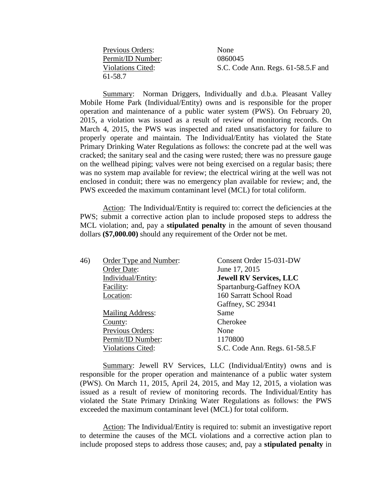| Previous Orders:  | None                               |
|-------------------|------------------------------------|
| Permit/ID Number: | 0860045                            |
| Violations Cited: | S.C. Code Ann. Regs. 61-58.5.F and |
| 61-58.7           |                                    |

Summary: Norman Driggers, Individually and d.b.a. Pleasant Valley Mobile Home Park (Individual/Entity) owns and is responsible for the proper operation and maintenance of a public water system (PWS). On February 20, 2015, a violation was issued as a result of review of monitoring records. On March 4, 2015, the PWS was inspected and rated unsatisfactory for failure to properly operate and maintain. The Individual/Entity has violated the State Primary Drinking Water Regulations as follows: the concrete pad at the well was cracked; the sanitary seal and the casing were rusted; there was no pressure gauge on the wellhead piping; valves were not being exercised on a regular basis; there was no system map available for review; the electrical wiring at the well was not enclosed in conduit; there was no emergency plan available for review; and, the PWS exceeded the maximum contaminant level (MCL) for total coliform.

Action: The Individual/Entity is required to: correct the deficiencies at the PWS; submit a corrective action plan to include proposed steps to address the MCL violation; and, pay a **stipulated penalty** in the amount of seven thousand dollars **(\$7,000.00)** should any requirement of the Order not be met.

| 46) | Order Type and Number:   | Consent Order 15-031-DW        |
|-----|--------------------------|--------------------------------|
|     | Order Date:              | June 17, 2015                  |
|     | Individual/Entity:       | <b>Jewell RV Services, LLC</b> |
|     | Facility:                | Spartanburg-Gaffney KOA        |
|     | Location:                | 160 Sarratt School Road        |
|     |                          | Gaffney, SC 29341              |
|     | <b>Mailing Address:</b>  | Same                           |
|     | County:                  | Cherokee                       |
|     | Previous Orders:         | None                           |
|     | Permit/ID Number:        | 1170800                        |
|     | <b>Violations Cited:</b> | S.C. Code Ann. Regs. 61-58.5.F |
|     |                          |                                |

Summary: Jewell RV Services, LLC (Individual/Entity) owns and is responsible for the proper operation and maintenance of a public water system (PWS). On March 11, 2015, April 24, 2015, and May 12, 2015, a violation was issued as a result of review of monitoring records. The Individual/Entity has violated the State Primary Drinking Water Regulations as follows: the PWS exceeded the maximum contaminant level (MCL) for total coliform.

Action: The Individual/Entity is required to: submit an investigative report to determine the causes of the MCL violations and a corrective action plan to include proposed steps to address those causes; and, pay a **stipulated penalty** in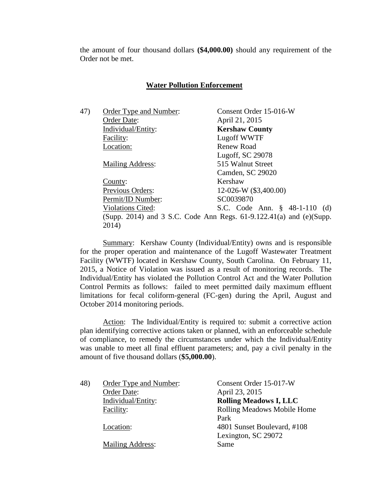the amount of four thousand dollars **(\$4,000.00)** should any requirement of the Order not be met.

# **Water Pollution Enforcement**

| 47) | Order Type and Number:   | Consent Order 15-016-W                                                   |
|-----|--------------------------|--------------------------------------------------------------------------|
|     | Order Date:              | April 21, 2015                                                           |
|     | Individual/Entity:       | <b>Kershaw County</b>                                                    |
|     | Facility:                | Lugoff WWTF                                                              |
|     | Location:                | Renew Road                                                               |
|     |                          | Lugoff, SC 29078                                                         |
|     | <b>Mailing Address:</b>  | 515 Walnut Street                                                        |
|     |                          | Camden, SC 29020                                                         |
|     | County:                  | Kershaw                                                                  |
|     | Previous Orders:         | 12-026-W (\$3,400.00)                                                    |
|     | Permit/ID Number:        | SC0039870                                                                |
|     | <b>Violations Cited:</b> | S.C. Code Ann. § 48-1-110 (d)                                            |
|     |                          | (Supp. 2014) and 3 S.C. Code Ann Regs. $61-9.122.41(a)$ and $(e)$ (Supp. |
|     | 2014)                    |                                                                          |
|     |                          |                                                                          |

Summary: Kershaw County (Individual/Entity) owns and is responsible for the proper operation and maintenance of the Lugoff Wastewater Treatment Facility (WWTF) located in Kershaw County, South Carolina. On February 11, 2015, a Notice of Violation was issued as a result of monitoring records. The Individual/Entity has violated the Pollution Control Act and the Water Pollution Control Permits as follows: failed to meet permitted daily maximum effluent limitations for fecal coliform-general (FC-gen) during the April, August and October 2014 monitoring periods.

Action: The Individual/Entity is required to: submit a corrective action plan identifying corrective actions taken or planned, with an enforceable schedule of compliance, to remedy the circumstances under which the Individual/Entity was unable to meet all final effluent parameters; and, pay a civil penalty in the amount of five thousand dollars (**\$5,000.00**).

| 48) | Order Type and Number:  | Consent Order 15-017-W        |
|-----|-------------------------|-------------------------------|
|     | Order Date:             | April 23, 2015                |
|     | Individual/Entity:      | <b>Rolling Meadows I, LLC</b> |
|     | Facility:               | Rolling Meadows Mobile Home   |
|     |                         | Park                          |
|     | Location:               | 4801 Sunset Boulevard, #108   |
|     |                         | Lexington, SC 29072           |
|     | <b>Mailing Address:</b> | Same                          |
|     |                         |                               |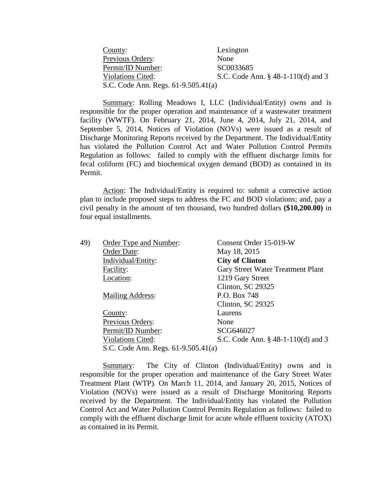| County:                             | Lexington                             |
|-------------------------------------|---------------------------------------|
| <b>Previous Orders:</b>             | None                                  |
| Permit/ID Number:                   | SC0033685                             |
| <b>Violations Cited:</b>            | S.C. Code Ann. $\S$ 48-1-110(d) and 3 |
| S.C. Code Ann. Regs. 61-9.505.41(a) |                                       |

Summary: Rolling Meadows I, LLC (Individual/Entity) owns and is responsible for the proper operation and maintenance of a wastewater treatment facility (WWTF). On February 21, 2014, June 4, 2014, July 21, 2014, and September 5, 2014, Notices of Violation (NOVs) were issued as a result of Discharge Monitoring Reports received by the Department. The Individual/Entity has violated the Pollution Control Act and Water Pollution Control Permits Regulation as follows: failed to comply with the effluent discharge limits for fecal coliform (FC) and biochemical oxygen demand (BOD) as contained in its Permit.

Action: The Individual/Entity is required to: submit a corrective action plan to include proposed steps to address the FC and BOD violations; and, pay a civil penalty in the amount of ten thousand, two hundred dollars **(\$10,200.00)** in four equal installments.

| 49) | Order Type and Number:              | Consent Order 15-019-W                |
|-----|-------------------------------------|---------------------------------------|
|     | Order Date:                         | May 18, 2015                          |
|     | Individual/Entity:                  | <b>City of Clinton</b>                |
|     | Facility:                           | Gary Street Water Treatment Plant     |
|     | Location:                           | 1219 Gary Street                      |
|     |                                     | Clinton, SC 29325                     |
|     | <b>Mailing Address:</b>             | P.O. Box 748                          |
|     |                                     | Clinton, SC 29325                     |
|     | County:                             | Laurens                               |
|     | Previous Orders:                    | None                                  |
|     | Permit/ID Number:                   | SCG646027                             |
|     | <b>Violations Cited:</b>            | S.C. Code Ann. $\S$ 48-1-110(d) and 3 |
|     | S.C. Code Ann. Regs. 61-9.505.41(a) |                                       |

Summary: The City of Clinton (Individual/Entity) owns and is responsible for the proper operation and maintenance of the Gary Street Water Treatment Plant (WTP). On March 11, 2014, and January 20, 2015, Notices of Violation (NOVs) were issued as a result of Discharge Monitoring Reports received by the Department. The Individual/Entity has violated the Pollution Control Act and Water Pollution Control Permits Regulation as follows: failed to comply with the effluent discharge limit for acute whole effluent toxicity (ATOX) as contained in its Permit.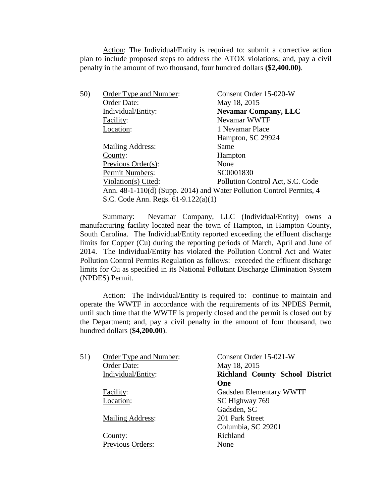Action: The Individual/Entity is required to: submit a corrective action plan to include proposed steps to address the ATOX violations; and, pay a civil penalty in the amount of two thousand, four hundred dollars **(\$2,400.00)**.

| 50) | Order Type and Number:                | Consent Order 15-020-W                                               |
|-----|---------------------------------------|----------------------------------------------------------------------|
|     | Order Date:                           | May 18, 2015                                                         |
|     | Individual/Entity:                    | <b>Nevamar Company, LLC</b>                                          |
|     | Facility:                             | Nevamar WWTF                                                         |
|     | Location:                             | 1 Nevamar Place                                                      |
|     |                                       | Hampton, SC 29924                                                    |
|     | <b>Mailing Address:</b>               | Same                                                                 |
|     | County:                               | Hampton                                                              |
|     | Previous Order(s):                    | None                                                                 |
|     | Permit Numbers:                       | SC0001830                                                            |
|     | Violation(s) Cited:                   | Pollution Control Act, S.C. Code                                     |
|     |                                       | Ann. 48-1-110(d) (Supp. 2014) and Water Pollution Control Permits, 4 |
|     | S.C. Code Ann. Regs. $61-9.122(a)(1)$ |                                                                      |

Summary: Nevamar Company, LLC (Individual/Entity) owns a manufacturing facility located near the town of Hampton, in Hampton County, South Carolina. The Individual/Entity reported exceeding the effluent discharge limits for Copper (Cu) during the reporting periods of March, April and June of 2014. The Individual/Entity has violated the Pollution Control Act and Water Pollution Control Permits Regulation as follows: exceeded the effluent discharge limits for Cu as specified in its National Pollutant Discharge Elimination System (NPDES) Permit.

Action: The Individual/Entity is required to: continue to maintain and operate the WWTF in accordance with the requirements of its NPDES Permit, until such time that the WWTF is properly closed and the permit is closed out by the Department; and, pay a civil penalty in the amount of four thousand, two hundred dollars (**\$4,200.00**).

| 51) | Order Type and Number:  | Consent Order 15-021-W                 |
|-----|-------------------------|----------------------------------------|
|     | Order Date:             | May 18, 2015                           |
|     | Individual/Entity:      | <b>Richland County School District</b> |
|     |                         | One                                    |
|     | Facility:               | Gadsden Elementary WWTF                |
|     | Location:               | SC Highway 769                         |
|     |                         | Gadsden, SC                            |
|     | <b>Mailing Address:</b> | 201 Park Street                        |
|     |                         | Columbia, SC 29201                     |
|     | County:                 | Richland                               |
|     | Previous Orders:        | None                                   |
|     |                         |                                        |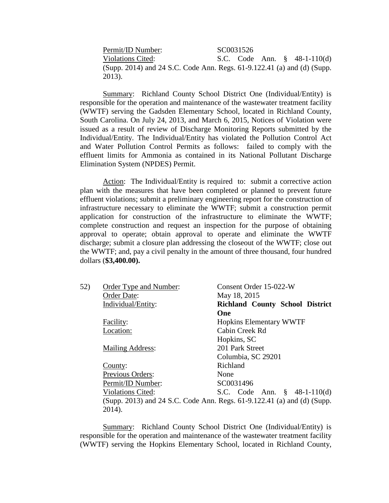Permit/ID Number: SC0031526 Violations Cited: S.C. Code Ann. § 48-1-110(d) (Supp. 2014) and 24 S.C. Code Ann. Regs. 61-9.122.41 (a) and (d) (Supp. 2013).

Summary: Richland County School District One (Individual/Entity) is responsible for the operation and maintenance of the wastewater treatment facility (WWTF) serving the Gadsden Elementary School, located in Richland County, South Carolina. On July 24, 2013, and March 6, 2015, Notices of Violation were issued as a result of review of Discharge Monitoring Reports submitted by the Individual/Entity. The Individual/Entity has violated the Pollution Control Act and Water Pollution Control Permits as follows: failed to comply with the effluent limits for Ammonia as contained in its National Pollutant Discharge Elimination System (NPDES) Permit.

Action: The Individual/Entity is required to: submit a corrective action plan with the measures that have been completed or planned to prevent future effluent violations; submit a preliminary engineering report for the construction of infrastructure necessary to eliminate the WWTF; submit a construction permit application for construction of the infrastructure to eliminate the WWTF; complete construction and request an inspection for the purpose of obtaining approval to operate; obtain approval to operate and eliminate the WWTF discharge; submit a closure plan addressing the closeout of the WWTF; close out the WWTF; and, pay a civil penalty in the amount of three thousand, four hundred dollars (**\$3,400.00).**

<span id="page-36-0"></span>

| 52) | Order Type and Number:   | Consent Order 15-022-W                                                  |
|-----|--------------------------|-------------------------------------------------------------------------|
|     | Order Date:              | May 18, 2015                                                            |
|     | Individual/Entity:       | <b>Richland County School District</b>                                  |
|     |                          | One                                                                     |
|     | Facility:                | <b>Hopkins Elementary WWTF</b>                                          |
|     | Location:                | Cabin Creek Rd                                                          |
|     |                          | Hopkins, SC                                                             |
|     | <b>Mailing Address:</b>  | 201 Park Street                                                         |
|     |                          | Columbia, SC 29201                                                      |
|     | County:                  | Richland                                                                |
|     | Previous Orders:         | None                                                                    |
|     | Permit/ID Number:        | SC0031496                                                               |
|     | <b>Violations Cited:</b> | S.C. Code Ann. $\S$ 48-1-110(d)                                         |
|     |                          | (Supp. 2013) and 24 S.C. Code Ann. Regs. 61-9.122.41 (a) and (d) (Supp. |
|     | 2014).                   |                                                                         |

Summary: Richland County School District One (Individual/Entity) is responsible for the operation and maintenance of the wastewater treatment facility (WWTF) serving the Hopkins Elementary School, located in Richland County,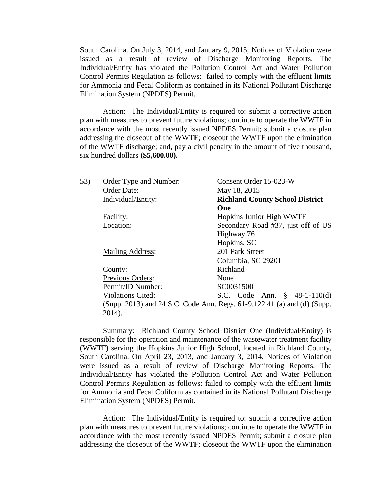South Carolina. On July 3, 2014, and January 9, 2015, Notices of Violation were issued as a result of review of Discharge Monitoring Reports. The Individual/Entity has violated the Pollution Control Act and Water Pollution Control Permits Regulation as follows: failed to comply with the effluent limits for Ammonia and Fecal Coliform as contained in its National Pollutant Discharge Elimination System (NPDES) Permit.

Action: The Individual/Entity is required to: submit a corrective action plan with measures to prevent future violations; continue to operate the WWTF in accordance with the most recently issued NPDES Permit; submit a closure plan addressing the closeout of the WWTF; closeout the WWTF upon the elimination of the WWTF discharge; and, pay a civil penalty in the amount of five thousand, six hundred dollars **(\$5,600.00).**

| 53) | Order Type and Number:   | Consent Order 15-023-W                                                  |
|-----|--------------------------|-------------------------------------------------------------------------|
|     | Order Date:              | May 18, 2015                                                            |
|     | Individual/Entity:       | <b>Richland County School District</b>                                  |
|     |                          | One                                                                     |
|     | Facility:                | Hopkins Junior High WWTF                                                |
|     | Location:                | Secondary Road #37, just off of US                                      |
|     |                          | Highway 76                                                              |
|     |                          | Hopkins, SC                                                             |
|     | <b>Mailing Address:</b>  | 201 Park Street                                                         |
|     |                          | Columbia, SC 29201                                                      |
|     | County:                  | Richland                                                                |
|     | Previous Orders:         | None                                                                    |
|     | Permit/ID Number:        | SC0031500                                                               |
|     | <b>Violations Cited:</b> | S.C. Code Ann. $\S$ 48-1-110(d)                                         |
|     |                          | (Supp. 2013) and 24 S.C. Code Ann. Regs. 61-9.122.41 (a) and (d) (Supp. |
|     | 2014).                   |                                                                         |

Summary: Richland County School District One (Individual/Entity) is responsible for the operation and maintenance of the wastewater treatment facility (WWTF) serving the Hopkins Junior High School, located in Richland County, South Carolina. On April 23, 2013, and January 3, 2014, Notices of Violation were issued as a result of review of Discharge Monitoring Reports. The Individual/Entity has violated the Pollution Control Act and Water Pollution Control Permits Regulation as follows: failed to comply with the effluent limits for Ammonia and Fecal Coliform as contained in its National Pollutant Discharge Elimination System (NPDES) Permit.

Action: The Individual/Entity is required to: submit a corrective action plan with measures to prevent future violations; continue to operate the WWTF in accordance with the most recently issued NPDES Permit; submit a closure plan addressing the closeout of the WWTF; closeout the WWTF upon the elimination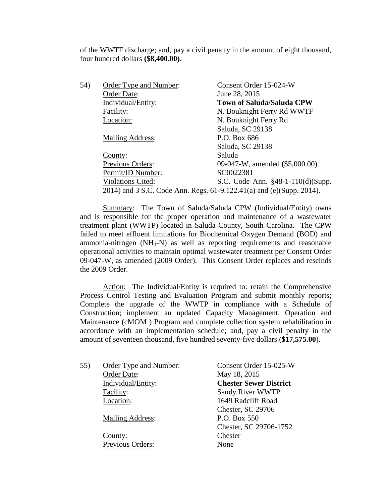of the WWTF discharge; and, pay a civil penalty in the amount of eight thousand, four hundred dollars **(\$8,400.00).**

| 54) | Order Type and Number:                                               | Consent Order 15-024-W            |
|-----|----------------------------------------------------------------------|-----------------------------------|
|     | Order Date:                                                          | June 28, 2015                     |
|     | Individual/Entity:                                                   | <b>Town of Saluda/Saluda CPW</b>  |
|     | Facility:                                                            | N. Bouknight Ferry Rd WWTF        |
|     | Location:                                                            | N. Bouknight Ferry Rd             |
|     |                                                                      | Saluda, SC 29138                  |
|     | <b>Mailing Address:</b>                                              | P.O. Box 686                      |
|     |                                                                      | Saluda, SC 29138                  |
|     | County:                                                              | Saluda                            |
|     | Previous Orders:                                                     | 09-047-W, amended (\$5,000.00)    |
|     | Permit/ID Number:                                                    | SC0022381                         |
|     | <b>Violations Cited:</b>                                             | S.C. Code Ann. §48-1-110(d)(Supp. |
|     | 2014) and 3 S.C. Code Ann. Regs. 61-9.122.41(a) and (e)(Supp. 2014). |                                   |

Summary: The Town of Saluda/Saluda CPW (Individual/Entity) owns and is responsible for the proper operation and maintenance of a wastewater treatment plant (WWTP) located in Saluda County, South Carolina. The CPW failed to meet effluent limitations for Biochemical Oxygen Demand (BOD) and ammonia-nitrogen  $(NH_3-N)$  as well as reporting requirements and reasonable operational activities to maintain optimal wastewater treatment per Consent Order 09-047-W, as amended (2009 Order). This Consent Order replaces and rescinds the 2009 Order.

Action: The Individual/Entity is required to: retain the Comprehensive Process Control Testing and Evaluation Program and submit monthly reports; Complete the upgrade of the WWTP in compliance with a Schedule of Construction; implement an updated Capacity Management, Operation and Maintenance (cMOM ) Program and complete collection system rehabilitation in accordance with an implementation schedule; and, pay a civil penalty in the amount of seventeen thousand, five hundred seventy-five dollars (**\$17,575.00**).

| 55) | Order Type and Number:  | Consent Order 15-025-W        |
|-----|-------------------------|-------------------------------|
|     | Order Date:             | May 18, 2015                  |
|     | Individual/Entity:      | <b>Chester Sewer District</b> |
|     | Facility:               | Sandy River WWTP              |
|     | Location:               | 1649 Radcliff Road            |
|     |                         | Chester, SC 29706             |
|     | <b>Mailing Address:</b> | P.O. Box 550                  |
|     |                         | Chester, SC 29706-1752        |
|     | County:                 | Chester                       |
|     | Previous Orders:        | None                          |
|     |                         |                               |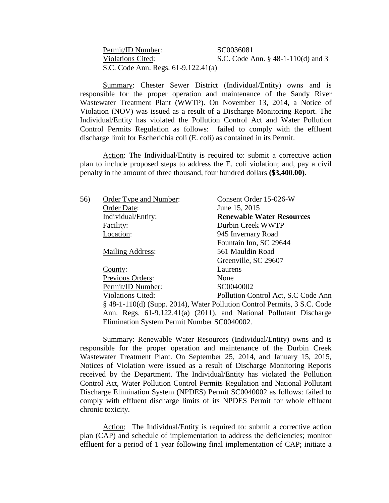Permit/ID Number: SC0036081 Violations Cited: S.C. Code Ann. § 48-1-110(d) and 3 S.C. Code Ann. Regs. 61-9.122.41(a)

Summary: Chester Sewer District (Individual/Entity) owns and is responsible for the proper operation and maintenance of the Sandy River Wastewater Treatment Plant (WWTP). On November 13, 2014, a Notice of Violation (NOV) was issued as a result of a Discharge Monitoring Report. The Individual/Entity has violated the Pollution Control Act and Water Pollution Control Permits Regulation as follows: failed to comply with the effluent discharge limit for Escherichia coli (E. coli) as contained in its Permit.

Action: The Individual/Entity is required to: submit a corrective action plan to include proposed steps to address the E. coli violation; and, pay a civil penalty in the amount of three thousand, four hundred dollars **(\$3,400.00)**.

| 56)                                         | Order Type and Number:                                             | Consent Order 15-026-W                                                   |
|---------------------------------------------|--------------------------------------------------------------------|--------------------------------------------------------------------------|
|                                             | Order Date:                                                        | June 15, 2015                                                            |
|                                             | Individual/Entity:                                                 | <b>Renewable Water Resources</b>                                         |
|                                             | Facility:                                                          | Durbin Creek WWTP                                                        |
|                                             | Location:                                                          | 945 Invernary Road                                                       |
|                                             |                                                                    | Fountain Inn, SC 29644                                                   |
|                                             | <b>Mailing Address:</b>                                            | 561 Mauldin Road                                                         |
|                                             |                                                                    | Greenville, SC 29607                                                     |
|                                             | County:                                                            | Laurens                                                                  |
|                                             | Previous Orders:                                                   | None                                                                     |
|                                             | Permit/ID Number:                                                  | SC0040002                                                                |
|                                             | <b>Violations Cited:</b>                                           | Pollution Control Act, S.C Code Ann                                      |
|                                             |                                                                    | § 48-1-110(d) (Supp. 2014), Water Pollution Control Permits, 3 S.C. Code |
|                                             | Ann. Regs. 61-9.122.41(a) (2011), and National Pollutant Discharge |                                                                          |
| Elimination System Permit Number SC0040002. |                                                                    |                                                                          |

Summary: Renewable Water Resources (Individual/Entity) owns and is responsible for the proper operation and maintenance of the Durbin Creek Wastewater Treatment Plant. On September 25, 2014, and January 15, 2015, Notices of Violation were issued as a result of Discharge Monitoring Reports received by the Department. The Individual/Entity has violated the Pollution Control Act, Water Pollution Control Permits Regulation and National Pollutant Discharge Elimination System (NPDES) Permit SC0040002 as follows: failed to comply with effluent discharge limits of its NPDES Permit for whole effluent chronic toxicity.

Action: The Individual/Entity is required to: submit a corrective action plan (CAP) and schedule of implementation to address the deficiencies; monitor effluent for a period of 1 year following final implementation of CAP; initiate a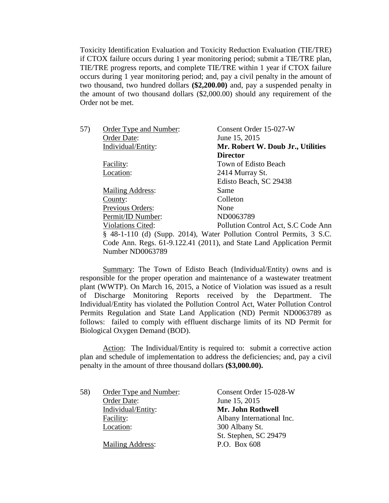Toxicity Identification Evaluation and Toxicity Reduction Evaluation (TIE/TRE) if CTOX failure occurs during 1 year monitoring period; submit a TIE/TRE plan, TIE/TRE progress reports, and complete TIE/TRE within 1 year if CTOX failure occurs during 1 year monitoring period; and, pay a civil penalty in the amount of two thousand, two hundred dollars **(\$2,200.00)** and, pay a suspended penalty in the amount of two thousand dollars (\$2,000.00) should any requirement of the Order not be met.

| 57) | Order Type and Number:  | Consent Order 15-027-W                                                |
|-----|-------------------------|-----------------------------------------------------------------------|
|     | Order Date:             | June 15, 2015                                                         |
|     | Individual/Entity:      | Mr. Robert W. Doub Jr., Utilities                                     |
|     |                         | <b>Director</b>                                                       |
|     | Facility:               | Town of Edisto Beach                                                  |
|     | Location:               | 2414 Murray St.                                                       |
|     |                         | Edisto Beach, SC 29438                                                |
|     | <b>Mailing Address:</b> | Same                                                                  |
|     | County:                 | Colleton                                                              |
|     | Previous Orders:        | None                                                                  |
|     | Permit/ID Number:       | ND0063789                                                             |
|     | Violations Cited:       | Pollution Control Act, S.C Code Ann                                   |
|     |                         | § 48-1-110 (d) (Supp. 2014), Water Pollution Control Permits, 3 S.C.  |
|     |                         | Code Ann. Regs. 61-9.122.41 (2011), and State Land Application Permit |
|     | Number ND0063789        |                                                                       |
|     |                         |                                                                       |

Summary: The Town of Edisto Beach (Individual/Entity) owns and is responsible for the proper operation and maintenance of a wastewater treatment plant (WWTP). On March 16, 2015, a Notice of Violation was issued as a result of Discharge Monitoring Reports received by the Department. The Individual/Entity has violated the Pollution Control Act, Water Pollution Control Permits Regulation and State Land Application (ND) Permit ND0063789 as follows: failed to comply with effluent discharge limits of its ND Permit for Biological Oxygen Demand (BOD).

Action: The Individual/Entity is required to: submit a corrective action plan and schedule of implementation to address the deficiencies; and, pay a civil penalty in the amount of three thousand dollars **(\$3,000.00).**

| June 15, 2015<br>Order Date:<br>Mr. John Rothwell<br>Individual/Entity:<br>Facility:<br>Location:<br>300 Albany St. | 58) | Order Type and Number:  | Consent Order 15-028-W    |
|---------------------------------------------------------------------------------------------------------------------|-----|-------------------------|---------------------------|
|                                                                                                                     |     |                         |                           |
|                                                                                                                     |     |                         |                           |
|                                                                                                                     |     |                         | Albany International Inc. |
|                                                                                                                     |     |                         |                           |
|                                                                                                                     |     |                         | St. Stephen, SC 29479     |
|                                                                                                                     |     | <b>Mailing Address:</b> | P.O. Box 608              |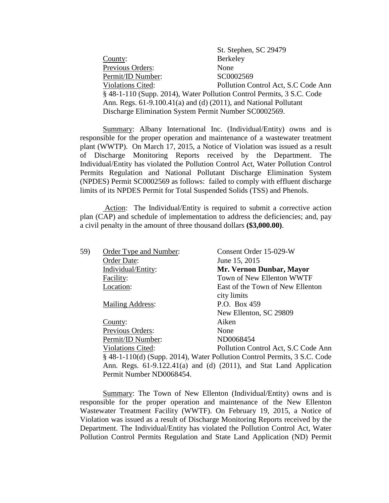|                                                                       | St. Stephen, SC 29479               |  |
|-----------------------------------------------------------------------|-------------------------------------|--|
| County:                                                               | Berkeley                            |  |
| Previous Orders:                                                      | None                                |  |
| Permit/ID Number:                                                     | SC0002569                           |  |
| <b>Violations Cited:</b>                                              | Pollution Control Act, S.C Code Ann |  |
| § 48-1-110 (Supp. 2014), Water Pollution Control Permits, 3 S.C. Code |                                     |  |
| Ann. Regs. 61-9.100.41(a) and (d) (2011), and National Pollutant      |                                     |  |
| Discharge Elimination System Permit Number SC0002569.                 |                                     |  |
|                                                                       |                                     |  |

Summary: Albany International Inc. (Individual/Entity) owns and is responsible for the proper operation and maintenance of a wastewater treatment plant (WWTP). On March 17, 2015, a Notice of Violation was issued as a result of Discharge Monitoring Reports received by the Department. The Individual/Entity has violated the Pollution Control Act, Water Pollution Control Permits Regulation and National Pollutant Discharge Elimination System (NPDES) Permit SC0002569 as follows: failed to comply with effluent discharge limits of its NPDES Permit for Total Suspended Solids (TSS) and Phenols.

Action: The Individual/Entity is required to submit a corrective action plan (CAP) and schedule of implementation to address the deficiencies; and, pay a civil penalty in the amount of three thousand dollars **(\$3,000.00)**.

| 59) | Order Type and Number:   | Consent Order 15-029-W                                                      |
|-----|--------------------------|-----------------------------------------------------------------------------|
|     | Order Date:              | June 15, 2015                                                               |
|     | Individual/Entity:       | Mr. Vernon Dunbar, Mayor                                                    |
|     | Facility:                | Town of New Ellenton WWTF                                                   |
|     | Location:                | East of the Town of New Ellenton                                            |
|     |                          | city limits                                                                 |
|     | <b>Mailing Address:</b>  | P.O. Box 459                                                                |
|     |                          | New Ellenton, SC 29809                                                      |
|     | County:                  | Aiken                                                                       |
|     | Previous Orders:         | None                                                                        |
|     | Permit/ID Number:        | ND0068454                                                                   |
|     | <b>Violations Cited:</b> | Pollution Control Act, S.C Code Ann                                         |
|     |                          | $\S$ 48-1-110(d) (Supp. 2014), Water Pollution Control Permits, 3 S.C. Code |
|     |                          | Ann. Regs. 61-9.122.41(a) and (d) (2011), and Stat Land Application         |
|     | Permit Number ND0068454. |                                                                             |

Summary: The Town of New Ellenton (Individual/Entity) owns and is responsible for the proper operation and maintenance of the New Ellenton Wastewater Treatment Facility (WWTF). On February 19, 2015, a Notice of Violation was issued as a result of Discharge Monitoring Reports received by the Department. The Individual/Entity has violated the Pollution Control Act, Water Pollution Control Permits Regulation and State Land Application (ND) Permit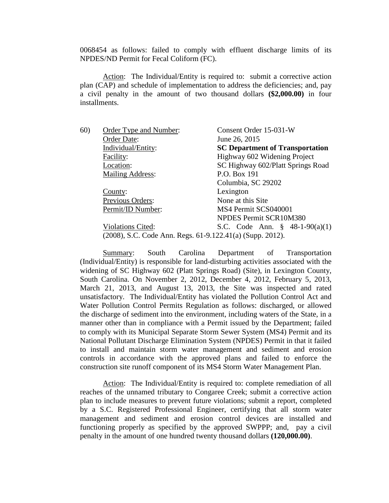0068454 as follows: failed to comply with effluent discharge limits of its NPDES/ND Permit for Fecal Coliform (FC).

Action: The Individual/Entity is required to: submit a corrective action plan (CAP) and schedule of implementation to address the deficiencies; and, pay a civil penalty in the amount of two thousand dollars **(\$2,000.00)** in four installments.

| 60) | Order Type and Number:                                    | Consent Order 15-031-W                     |
|-----|-----------------------------------------------------------|--------------------------------------------|
|     | Order Date:                                               | June 26, 2015                              |
|     | Individual/Entity:                                        | <b>SC Department of Transportation</b>     |
|     | Facility:                                                 | Highway 602 Widening Project               |
|     | Location:                                                 | SC Highway 602/Platt Springs Road          |
|     | <b>Mailing Address:</b>                                   | P.O. Box 191                               |
|     |                                                           | Columbia, SC 29202                         |
|     | County:                                                   | Lexington                                  |
|     | Previous Orders:                                          | None at this Site.                         |
|     | Permit/ID Number:                                         | MS4 Permit SCS040001                       |
|     |                                                           | NPDES Permit SCR10M380                     |
|     | <b>Violations Cited:</b>                                  | S.C. Code Ann. $\frac{8}{9}$ 48-1-90(a)(1) |
|     | (2008), S.C. Code Ann. Regs. 61-9.122.41(a) (Supp. 2012). |                                            |

Summary: South Carolina Department of Transportation (Individual/Entity) is responsible for land-disturbing activities associated with the widening of SC Highway 602 (Platt Springs Road) (Site), in Lexington County, South Carolina. On November 2, 2012, December 4, 2012, February 5, 2013, March 21, 2013, and August 13, 2013, the Site was inspected and rated unsatisfactory. The Individual/Entity has violated the Pollution Control Act and Water Pollution Control Permits Regulation as follows: discharged, or allowed the discharge of sediment into the environment, including waters of the State, in a manner other than in compliance with a Permit issued by the Department; failed to comply with its Municipal Separate Storm Sewer System (MS4) Permit and its National Pollutant Discharge Elimination System (NPDES) Permit in that it failed to install and maintain storm water management and sediment and erosion controls in accordance with the approved plans and failed to enforce the construction site runoff component of its MS4 Storm Water Management Plan.

Action: The Individual/Entity is required to: complete remediation of all reaches of the unnamed tributary to Congaree Creek; submit a corrective action plan to include measures to prevent future violations; submit a report, completed by a S.C. Registered Professional Engineer, certifying that all storm water management and sediment and erosion control devices are installed and functioning properly as specified by the approved SWPPP; and, pay a civil penalty in the amount of one hundred twenty thousand dollars **(120,000.00)**.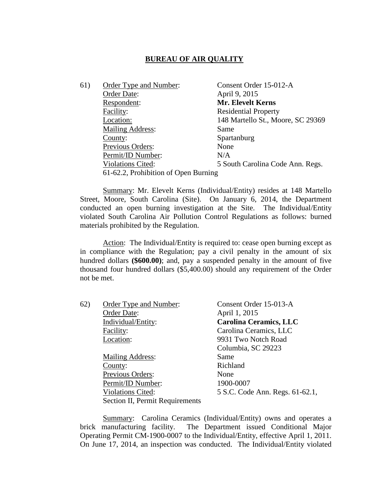# **BUREAU OF AIR QUALITY**

| 61) | Order Type and Number:               | Consent Order 15-012-A            |
|-----|--------------------------------------|-----------------------------------|
|     | Order Date:                          | April 9, 2015                     |
|     | Respondent:                          | <b>Mr. Elevelt Kerns</b>          |
|     | Facility:                            | <b>Residential Property</b>       |
|     | Location:                            | 148 Martello St., Moore, SC 29369 |
|     | <b>Mailing Address:</b>              | Same                              |
|     | County:                              | Spartanburg                       |
|     | Previous Orders:                     | None                              |
|     | Permit/ID Number:                    | N/A                               |
|     | <b>Violations Cited:</b>             | 5 South Carolina Code Ann. Regs.  |
|     | 61-62.2, Prohibition of Open Burning |                                   |

Summary: Mr. Elevelt Kerns (Individual/Entity) resides at 148 Martello Street, Moore, South Carolina (Site). On January 6, 2014, the Department conducted an open burning investigation at the Site. The Individual/Entity violated South Carolina Air Pollution Control Regulations as follows: burned materials prohibited by the Regulation.

Action: The Individual/Entity is required to: cease open burning except as in compliance with the Regulation; pay a civil penalty in the amount of six hundred dollars **(\$600.00)**; and, pay a suspended penalty in the amount of five thousand four hundred dollars (\$5,400.00) should any requirement of the Order not be met.

| 62) | <b>Order Type and Number:</b>   | Consent Order 15-013-A          |
|-----|---------------------------------|---------------------------------|
|     | Order Date:                     | April 1, 2015                   |
|     | Individual/Entity:              | <b>Carolina Ceramics, LLC</b>   |
|     | Facility:                       | Carolina Ceramics, LLC          |
|     | Location:                       | 9931 Two Notch Road             |
|     |                                 | Columbia, SC 29223              |
|     | <b>Mailing Address:</b>         | Same                            |
|     | County:                         | Richland                        |
|     | Previous Orders:                | None                            |
|     | Permit/ID Number:               | 1900-0007                       |
|     | <b>Violations Cited:</b>        | 5 S.C. Code Ann. Regs. 61-62.1, |
|     | Section II, Permit Requirements |                                 |

Summary: Carolina Ceramics (Individual/Entity) owns and operates a brick manufacturing facility. The Department issued Conditional Major Operating Permit CM-1900-0007 to the Individual/Entity, effective April 1, 2011. On June 17, 2014, an inspection was conducted. The Individual/Entity violated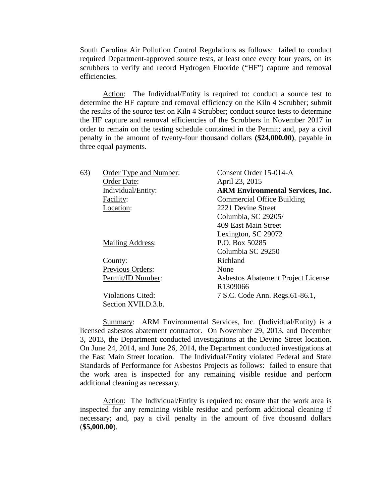South Carolina Air Pollution Control Regulations as follows: failed to conduct required Department-approved source tests, at least once every four years, on its scrubbers to verify and record Hydrogen Fluoride ("HF") capture and removal efficiencies.

Action: The Individual/Entity is required to: conduct a source test to determine the HF capture and removal efficiency on the Kiln 4 Scrubber; submit the results of the source test on Kiln 4 Scrubber; conduct source tests to determine the HF capture and removal efficiencies of the Scrubbers in November 2017 in order to remain on the testing schedule contained in the Permit; and, pay a civil penalty in the amount of twenty-four thousand dollars **(\$24,000.00)**, payable in three equal payments.

| 63) | Order Type and Number:   | Consent Order 15-014-A                  |
|-----|--------------------------|-----------------------------------------|
|     | Order Date:              | April 23, 2015                          |
|     | Individual/Entity:       | <b>ARM Environmental Services, Inc.</b> |
|     | Facility:                | <b>Commercial Office Building</b>       |
|     | Location:                | 2221 Devine Street                      |
|     |                          | Columbia, SC 29205/                     |
|     |                          | 409 East Main Street                    |
|     |                          | Lexington, SC 29072                     |
|     | <b>Mailing Address:</b>  | P.O. Box 50285                          |
|     |                          | Columbia SC 29250                       |
|     | County:                  | Richland                                |
|     | Previous Orders:         | None                                    |
|     | Permit/ID Number:        | Asbestos Abatement Project License      |
|     |                          | R1309066                                |
|     | <b>Violations Cited:</b> | 7 S.C. Code Ann. Regs.61-86.1,          |
|     | Section XVII.D.3.b.      |                                         |

Summary: ARM Environmental Services, Inc. (Individual/Entity) is a licensed asbestos abatement contractor. On November 29, 2013, and December 3, 2013, the Department conducted investigations at the Devine Street location. On June 24, 2014, and June 26, 2014, the Department conducted investigations at the East Main Street location. The Individual/Entity violated Federal and State Standards of Performance for Asbestos Projects as follows: failed to ensure that the work area is inspected for any remaining visible residue and perform additional cleaning as necessary.

Action: The Individual/Entity is required to: ensure that the work area is inspected for any remaining visible residue and perform additional cleaning if necessary; and, pay a civil penalty in the amount of five thousand dollars (**\$5,000.00**).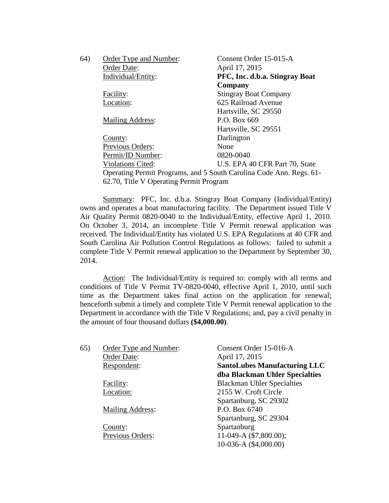| 64) | Order Type and Number:                                              | Consent Order 15-015-A         |
|-----|---------------------------------------------------------------------|--------------------------------|
|     | Order Date:                                                         | April 17, 2015                 |
|     | Individual/Entity:                                                  | PFC, Inc. d.b.a. Stingray Boat |
|     |                                                                     | Company                        |
|     | Facility:                                                           | <b>Stingray Boat Company</b>   |
|     | Location:                                                           | 625 Railroad Avenue            |
|     |                                                                     | Hartsville, SC 29550           |
|     | <b>Mailing Address:</b>                                             | P.O. Box 669                   |
|     |                                                                     | Hartsville, SC 29551           |
|     | County:                                                             | Darlington                     |
|     | Previous Orders:                                                    | None                           |
|     | Permit/ID Number:                                                   | 0820-0040                      |
|     | <b>Violations Cited:</b>                                            | U.S. EPA 40 CFR Part 70, State |
|     | Operating Permit Programs, and 5 South Carolina Code Ann. Regs. 61- |                                |
|     | 62.70, Title V Operating Permit Program                             |                                |

Summary: PFC, Inc. d.b.a. Stingray Boat Company (Individual/Entity) owns and operates a boat manufacturing facility. The Department issued Title V Air Quality Permit 0820-0040 to the Individual/Entity, effective April 1, 2010. On October 3, 2014, an incomplete Title V Permit renewal application was received. The Individual/Entity has violated U.S. EPA Regulations at 40 CFR and South Carolina Air Pollution Control Regulations as follows: failed to submit a complete Title V Permit renewal application to the Department by September 30, 2014.

Action: The Individual/Entity is required to: comply with all terms and conditions of Title V Permit TV-0820-0040, effective April 1, 2010, until such time as the Department takes final action on the application for renewal; henceforth submit a timely and complete Title V Permit renewal application to the Department in accordance with the Title V Regulations; and, pay a civil penalty in the amount of four thousand dollars **(\$4,000.00)**.

| 65) | Order Type and Number:  | Consent Order 15-016-A              |
|-----|-------------------------|-------------------------------------|
|     | Order Date:             | April 17, 2015                      |
|     | Respondent:             | <b>SantoLubes Manufacturing LLC</b> |
|     |                         | dba Blackman Uhler Specialties      |
|     | Facility:               | <b>Blackman Uhler Specialties</b>   |
|     | Location:               | 2155 W. Croft Circle                |
|     |                         | Spartanburg, SC 29302               |
|     | <b>Mailing Address:</b> | P.O. Box 6740                       |
|     |                         | Spartanburg, SC 29304               |
|     | County:                 | Spartanburg                         |
|     | Previous Orders:        | 11-049-A (\$7,800.00);              |
|     |                         | 10-036-A (\$4,000.00)               |
|     |                         |                                     |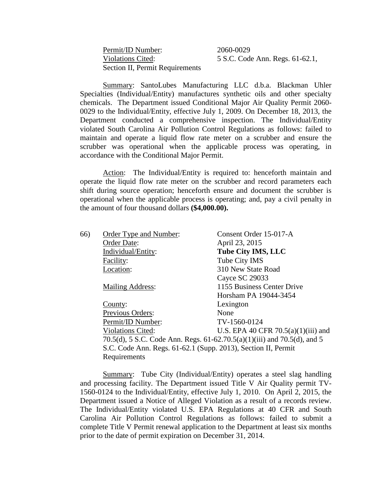Permit/ID Number: 2060-0029 Section II, Permit Requirements

Violations Cited: 5 S.C. Code Ann. Regs. 61-62.1,

Summary: SantoLubes Manufacturing LLC d.b.a. Blackman Uhler Specialties (Individual/Entity) manufactures synthetic oils and other specialty chemicals. The Department issued Conditional Major Air Quality Permit 2060- 0029 to the Individual/Entity, effective July 1, 2009. On December 18, 2013, the Department conducted a comprehensive inspection. The Individual/Entity violated South Carolina Air Pollution Control Regulations as follows: failed to maintain and operate a liquid flow rate meter on a scrubber and ensure the scrubber was operational when the applicable process was operating, in accordance with the Conditional Major Permit.

Action: The Individual/Entity is required to: henceforth maintain and operate the liquid flow rate meter on the scrubber and record parameters each shift during source operation; henceforth ensure and document the scrubber is operational when the applicable process is operating; and, pay a civil penalty in the amount of four thousand dollars **(\$4,000.00).**

| 66) | Order Type and Number:                                                   | Consent Order 15-017-A                |
|-----|--------------------------------------------------------------------------|---------------------------------------|
|     | Order Date:                                                              | April 23, 2015                        |
|     | Individual/Entity:                                                       | <b>Tube City IMS, LLC</b>             |
|     | Facility:                                                                | Tube City IMS                         |
|     | Location:                                                                | 310 New State Road                    |
|     |                                                                          | Cayce SC 29033                        |
|     | <b>Mailing Address:</b>                                                  | 1155 Business Center Drive            |
|     |                                                                          | Horsham PA 19044-3454                 |
|     | County:                                                                  | Lexington                             |
|     | Previous Orders:                                                         | None                                  |
|     | Permit/ID Number:                                                        | TV-1560-0124                          |
|     | <b>Violations Cited:</b>                                                 | U.S. EPA 40 CFR $70.5(a)(1)(iii)$ and |
|     | 70.5(d), 5 S.C. Code Ann. Regs. 61-62.70.5(a)(1)(iii) and 70.5(d), and 5 |                                       |
|     | S.C. Code Ann. Regs. 61-62.1 (Supp. 2013), Section II, Permit            |                                       |
|     | Requirements                                                             |                                       |
|     |                                                                          |                                       |

Summary: Tube City (Individual/Entity) operates a steel slag handling and processing facility. The Department issued Title V Air Quality permit TV-1560-0124 to the Individual/Entity, effective July 1, 2010. On April 2, 2015, the Department issued a Notice of Alleged Violation as a result of a records review. The Individual/Entity violated U.S. EPA Regulations at 40 CFR and South Carolina Air Pollution Control Regulations as follows: failed to submit a complete Title V Permit renewal application to the Department at least six months prior to the date of permit expiration on December 31, 2014.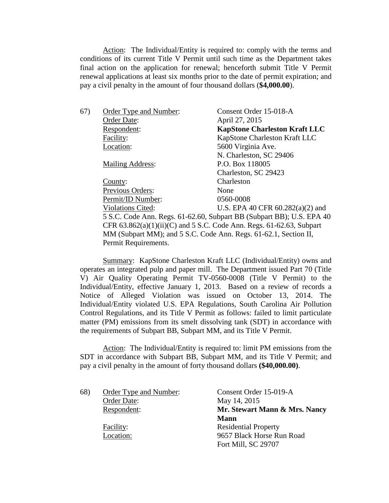Action: The Individual/Entity is required to: comply with the terms and conditions of its current Title V Permit until such time as the Department takes final action on the application for renewal; henceforth submit Title V Permit renewal applications at least six months prior to the date of permit expiration; and pay a civil penalty in the amount of four thousand dollars (**\$4,000.00**).

| 67) | Order Type and Number:                                                   | Consent Order 15-018-A                                                |
|-----|--------------------------------------------------------------------------|-----------------------------------------------------------------------|
|     | Order Date:                                                              | April 27, 2015                                                        |
|     | Respondent:                                                              | <b>KapStone Charleston Kraft LLC</b>                                  |
|     | Facility:                                                                | KapStone Charleston Kraft LLC                                         |
|     | Location:                                                                | 5600 Virginia Ave.                                                    |
|     |                                                                          | N. Charleston, SC 29406                                               |
|     | Mailing Address:                                                         | P.O. Box 118005                                                       |
|     |                                                                          | Charleston, SC 29423                                                  |
|     | County:                                                                  | Charleston                                                            |
|     | Previous Orders:                                                         | None                                                                  |
|     | Permit/ID Number:                                                        | 0560-0008                                                             |
|     | <b>Violations Cited:</b>                                                 | U.S. EPA 40 CFR $60.282(a)(2)$ and                                    |
|     |                                                                          | 5 S.C. Code Ann. Regs. 61-62.60, Subpart BB (Subpart BB); U.S. EPA 40 |
|     | CFR $63.862(a)(1)(ii)(C)$ and $5 S.C. Code Ann. Regs. 61-62.63, Subpart$ |                                                                       |
|     | MM (Subpart MM); and 5 S.C. Code Ann. Regs. 61-62.1, Section II,         |                                                                       |
|     | Permit Requirements.                                                     |                                                                       |

Summary: KapStone Charleston Kraft LLC (Individual/Entity) owns and operates an integrated pulp and paper mill. The Department issued Part 70 (Title V) Air Quality Operating Permit TV-0560-0008 (Title V Permit) to the Individual/Entity, effective January 1, 2013. Based on a review of records a Notice of Alleged Violation was issued on October 13, 2014. The Individual/Entity violated U.S. EPA Regulations, South Carolina Air Pollution Control Regulations, and its Title V Permit as follows: failed to limit particulate matter (PM) emissions from its smelt dissolving tank (SDT) in accordance with the requirements of Subpart BB, Subpart MM, and its Title V Permit.

Action: The Individual/Entity is required to: limit PM emissions from the SDT in accordance with Subpart BB, Subpart MM, and its Title V Permit; and pay a civil penalty in the amount of forty thousand dollars **(\$40,000.00)**.

| 68) | Order Type and Number: | Consent Order 15-019-A        |
|-----|------------------------|-------------------------------|
|     | Order Date:            | May 14, 2015                  |
|     | Respondent:            | Mr. Stewart Mann & Mrs. Nancy |
|     |                        | <b>Mann</b>                   |
|     | Facility:              | <b>Residential Property</b>   |
|     | Location:              | 9657 Black Horse Run Road     |
|     |                        | Fort Mill, SC 29707           |
|     |                        |                               |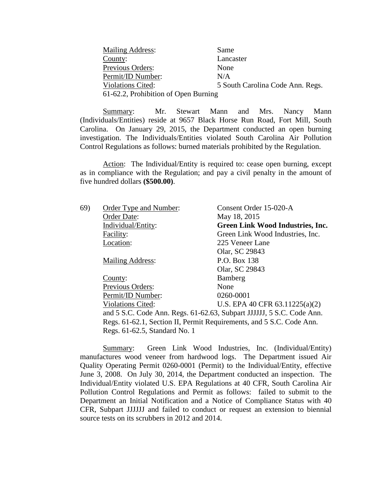| <b>Mailing Address:</b>              | Same                             |
|--------------------------------------|----------------------------------|
| County:                              | Lancaster                        |
| Previous Orders:                     | None                             |
| Permit/ID Number:                    | N/A                              |
| Violations Cited:                    | 5 South Carolina Code Ann. Regs. |
| 61-62.2, Prohibition of Open Burning |                                  |

Summary: Mr. Stewart Mann and Mrs. Nancy Mann (Individuals/Entities) reside at 9657 Black Horse Run Road, Fort Mill, South Carolina. On January 29, 2015, the Department conducted an open burning investigation. The Individuals/Entities violated South Carolina Air Pollution Control Regulations as follows: burned materials prohibited by the Regulation.

Action: The Individual/Entity is required to: cease open burning, except as in compliance with the Regulation; and pay a civil penalty in the amount of five hundred dollars **(\$500.00)**.

| 69) | Order Type and Number:                                                | Consent Order 15-020-A           |
|-----|-----------------------------------------------------------------------|----------------------------------|
|     | Order Date:                                                           | May 18, 2015                     |
|     | Individual/Entity:                                                    | Green Link Wood Industries, Inc. |
|     | Facility:                                                             | Green Link Wood Industries, Inc. |
|     | Location:                                                             | 225 Veneer Lane                  |
|     |                                                                       | Olar, SC 29843                   |
|     | <b>Mailing Address:</b>                                               | P.O. Box 138                     |
|     |                                                                       | Olar, SC 29843                   |
|     | County:                                                               | Bamberg                          |
|     | <b>Previous Orders:</b>                                               | None                             |
|     | Permit/ID Number:                                                     | 0260-0001                        |
|     | <b>Violations Cited:</b>                                              | U.S. EPA 40 CFR $63.11225(a)(2)$ |
|     | and 5 S.C. Code Ann. Regs. 61-62.63, Subpart JJJJJJ, 5 S.C. Code Ann. |                                  |
|     | Regs. 61-62.1, Section II, Permit Requirements, and 5 S.C. Code Ann.  |                                  |
|     | Regs. 61-62.5, Standard No. 1                                         |                                  |

Summary: Green Link Wood Industries, Inc. (Individual/Entity) manufactures wood veneer from hardwood logs. The Department issued Air Quality Operating Permit 0260-0001 (Permit) to the Individual/Entity, effective June 3, 2008. On July 30, 2014, the Department conducted an inspection. The Individual/Entity violated U.S. EPA Regulations at 40 CFR, South Carolina Air Pollution Control Regulations and Permit as follows: failed to submit to the Department an Initial Notification and a Notice of Compliance Status with 40 CFR, Subpart JJJJJJ and failed to conduct or request an extension to biennial source tests on its scrubbers in 2012 and 2014.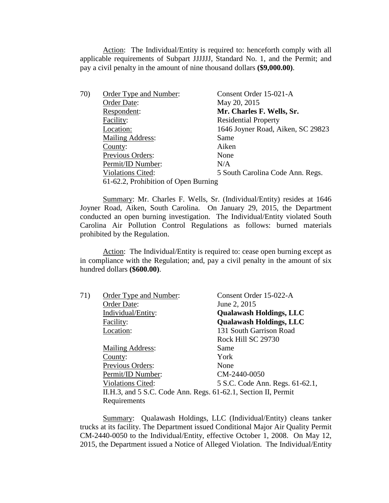Action: The Individual/Entity is required to: henceforth comply with all applicable requirements of Subpart JJJJJJ, Standard No. 1, and the Permit; and pay a civil penalty in the amount of nine thousand dollars **(\$9,000.00)**.

| 70) | Order Type and Number:               | Consent Order 15-021-A            |
|-----|--------------------------------------|-----------------------------------|
|     | Order Date:                          | May 20, 2015                      |
|     | Respondent:                          | Mr. Charles F. Wells, Sr.         |
|     | Facility:                            | <b>Residential Property</b>       |
|     | Location:                            | 1646 Joyner Road, Aiken, SC 29823 |
|     | <b>Mailing Address:</b>              | Same                              |
|     | County:                              | Aiken                             |
|     | Previous Orders:                     | None                              |
|     | Permit/ID Number:                    | N/A                               |
|     | <b>Violations Cited:</b>             | 5 South Carolina Code Ann. Regs.  |
|     | 61-62.2, Prohibition of Open Burning |                                   |
|     |                                      |                                   |

Summary: Mr. Charles F. Wells, Sr. (Individual/Entity) resides at 1646 Joyner Road, Aiken, South Carolina. On January 29, 2015, the Department conducted an open burning investigation. The Individual/Entity violated South Carolina Air Pollution Control Regulations as follows: burned materials prohibited by the Regulation.

Action: The Individual/Entity is required to: cease open burning except as in compliance with the Regulation; and, pay a civil penalty in the amount of six hundred dollars **(\$600.00)**.

| 71) | Order Type and Number:                                         | Consent Order 15-022-A          |
|-----|----------------------------------------------------------------|---------------------------------|
|     | Order Date:                                                    | June 2, 2015                    |
|     | Individual/Entity:                                             | <b>Qualawash Holdings, LLC</b>  |
|     | Facility:                                                      | <b>Qualawash Holdings, LLC</b>  |
|     | Location:                                                      | 131 South Garrison Road         |
|     |                                                                | Rock Hill SC 29730              |
|     | <b>Mailing Address:</b>                                        | Same                            |
|     | County:                                                        | York                            |
|     | Previous Orders:                                               | None                            |
|     | Permit/ID Number:                                              | CM-2440-0050                    |
|     | <b>Violations Cited:</b>                                       | 5 S.C. Code Ann. Regs. 61-62.1, |
|     | II.H.3, and 5 S.C. Code Ann. Regs. 61-62.1, Section II, Permit |                                 |
|     | Requirements                                                   |                                 |

Summary: Qualawash Holdings, LLC (Individual/Entity) cleans tanker trucks at its facility. The Department issued Conditional Major Air Quality Permit CM-2440-0050 to the Individual/Entity, effective October 1, 2008. On May 12, 2015, the Department issued a Notice of Alleged Violation. The Individual/Entity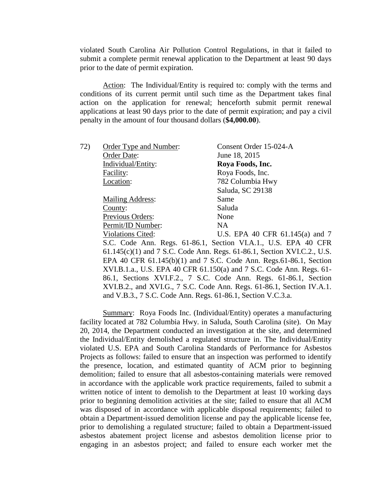violated South Carolina Air Pollution Control Regulations, in that it failed to submit a complete permit renewal application to the Department at least 90 days prior to the date of permit expiration.

Action: The Individual/Entity is required to: comply with the terms and conditions of its current permit until such time as the Department takes final action on the application for renewal; henceforth submit permit renewal applications at least 90 days prior to the date of permit expiration; and pay a civil penalty in the amount of four thousand dollars (**\$4,000.00**).

| Order Type and Number:                                       | Consent Order 15-024-A                                                  |
|--------------------------------------------------------------|-------------------------------------------------------------------------|
| Order Date:                                                  | June 18, 2015                                                           |
| Individual/Entity:                                           | Roya Foods, Inc.                                                        |
| Facility:                                                    | Roya Foods, Inc.                                                        |
| Location:                                                    | 782 Columbia Hwy                                                        |
|                                                              | Saluda, SC 29138                                                        |
| <b>Mailing Address:</b>                                      | Same                                                                    |
| County:                                                      | Saluda                                                                  |
| Previous Orders:                                             | None                                                                    |
| Permit/ID Number:                                            | NA.                                                                     |
| <b>Violations Cited:</b>                                     | U.S. EPA 40 CFR $61.145(a)$ and 7                                       |
|                                                              | S.C. Code Ann. Regs. 61-86.1, Section VI.A.1., U.S. EPA 40 CFR          |
|                                                              | 61.145(c)(1) and 7 S.C. Code Ann. Regs. 61-86.1, Section XVI.C.2., U.S. |
|                                                              | EPA 40 CFR 61.145(b)(1) and 7 S.C. Code Ann. Regs.61-86.1, Section      |
|                                                              | XVI.B.1.a., U.S. EPA 40 CFR 61.150(a) and 7 S.C. Code Ann. Regs. 61-    |
|                                                              | 86.1, Sections XVI.F.2., 7 S.C. Code Ann. Regs. 61-86.1, Section        |
|                                                              | XVI.B.2., and XVI.G., 7 S.C. Code Ann. Regs. 61-86.1, Section IV.A.1.   |
| and V.B.3., 7 S.C. Code Ann. Regs. 61-86.1, Section V.C.3.a. |                                                                         |
|                                                              |                                                                         |

Summary: Roya Foods Inc. (Individual/Entity) operates a manufacturing facility located at 782 Columbia Hwy. in Saluda, South Carolina (site). On May 20, 2014, the Department conducted an investigation at the site, and determined the Individual/Entity demolished a regulated structure in. The Individual/Entity violated U.S. EPA and South Carolina Standards of Performance for Asbestos Projects as follows: failed to ensure that an inspection was performed to identify the presence, location, and estimated quantity of ACM prior to beginning demolition; failed to ensure that all asbestos-containing materials were removed in accordance with the applicable work practice requirements, failed to submit a written notice of intent to demolish to the Department at least 10 working days prior to beginning demolition activities at the site; failed to ensure that all ACM was disposed of in accordance with applicable disposal requirements; failed to obtain a Department-issued demolition license and pay the applicable license fee, prior to demolishing a regulated structure; failed to obtain a Department-issued asbestos abatement project license and asbestos demolition license prior to engaging in an asbestos project; and failed to ensure each worker met the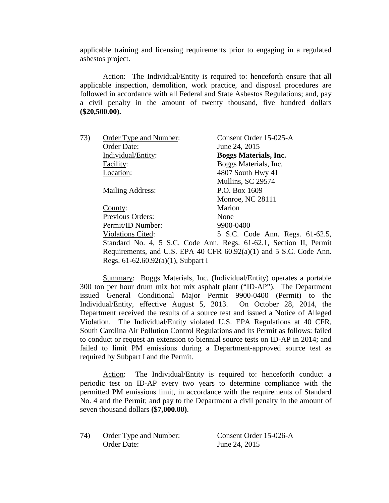applicable training and licensing requirements prior to engaging in a regulated asbestos project.

Action: The Individual/Entity is required to: henceforth ensure that all applicable inspection, demolition, work practice, and disposal procedures are followed in accordance with all Federal and State Asbestos Regulations; and, pay a civil penalty in the amount of twenty thousand, five hundred dollars **(\$20,500.00).**

| 73) | Order Type and Number:             | Consent Order 15-025-A                                             |
|-----|------------------------------------|--------------------------------------------------------------------|
|     | Order Date:                        | June 24, 2015                                                      |
|     | Individual/Entity:                 | <b>Boggs Materials, Inc.</b>                                       |
|     | Facility:                          | Boggs Materials, Inc.                                              |
|     | Location:                          | 4807 South Hwy 41                                                  |
|     |                                    | Mullins, SC 29574                                                  |
|     | Mailing Address:                   | P.O. Box 1609                                                      |
|     |                                    | <b>Monroe, NC 28111</b>                                            |
|     | County:                            | Marion                                                             |
|     | Previous Orders:                   | None                                                               |
|     | Permit/ID Number:                  | 9900-0400                                                          |
|     | <b>Violations Cited:</b>           | 5 S.C. Code Ann. Regs. 61-62.5,                                    |
|     |                                    | Standard No. 4, 5 S.C. Code Ann. Regs. 61-62.1, Section II, Permit |
|     |                                    | Requirements, and U.S. EPA 40 CFR 60.92(a)(1) and 5 S.C. Code Ann. |
|     | Regs. 61-62.60.92(a)(1), Subpart I |                                                                    |

Summary: Boggs Materials, Inc. (Individual/Entity) operates a portable 300 ton per hour drum mix hot mix asphalt plant ("ID-AP"). The Department issued General Conditional Major Permit 9900-0400 (Permit) to the Individual/Entity, effective August 5, 2013. On October 28, 2014, the Department received the results of a source test and issued a Notice of Alleged Violation. The Individual/Entity violated U.S. EPA Regulations at 40 CFR, South Carolina Air Pollution Control Regulations and its Permit as follows: failed to conduct or request an extension to biennial source tests on ID-AP in 2014; and failed to limit PM emissions during a Department-approved source test as required by Subpart I and the Permit.

Action: The Individual/Entity is required to: henceforth conduct a periodic test on ID-AP every two years to determine compliance with the permitted PM emissions limit, in accordance with the requirements of Standard No. 4 and the Permit; and pay to the Department a civil penalty in the amount of seven thousand dollars **(\$7,000.00)**.

74) Order Type and Number: Consent Order 15**-**026-A Order Date: June 24, 2015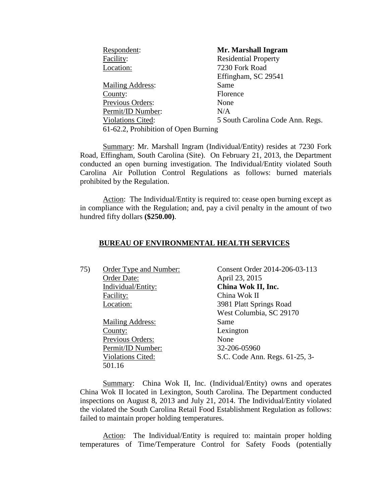| Respondent:                          | Mr. Marshall Ingram              |
|--------------------------------------|----------------------------------|
| Facility:                            | <b>Residential Property</b>      |
| Location:                            | 7230 Fork Road                   |
|                                      | Effingham, SC 29541              |
| <b>Mailing Address:</b>              | Same                             |
| County:                              | Florence                         |
| Previous Orders:                     | None                             |
| Permit/ID Number:                    | N/A                              |
| Violations Cited:                    | 5 South Carolina Code Ann. Regs. |
| 61-62.2, Prohibition of Open Burning |                                  |

Summary: Mr. Marshall Ingram (Individual/Entity) resides at 7230 Fork Road, Effingham, South Carolina (Site). On February 21, 2013, the Department conducted an open burning investigation. The Individual/Entity violated South Carolina Air Pollution Control Regulations as follows: burned materials prohibited by the Regulation.

Action: The Individual/Entity is required to: cease open burning except as in compliance with the Regulation; and, pay a civil penalty in the amount of two hundred fifty dollars **(\$250.00)**.

# **BUREAU OF ENVIRONMENTAL HEALTH SERVICES**

Order Date: April 23, 2015 Individual/Entity: **China Wok II, Inc.** Facility: China Wok II Location: 3981 Platt Springs Road

> Mailing Address: Same County: Lexington Previous Orders: None Permit/ID Number: 32-206-05960<br>Violations Cited: 5.C. Code Ann 501.16

75) Order Type and Number: Consent Order 2014-206-03-113 West Columbia, SC 29170 S.C. Code Ann. Regs. 61-25, 3-

Summary: China Wok II, Inc. (Individual/Entity) owns and operates China Wok II located in Lexington, South Carolina. The Department conducted inspections on August 8, 2013 and July 21, 2014. The Individual/Entity violated the violated the South Carolina Retail Food Establishment Regulation as follows: failed to maintain proper holding temperatures.

Action: The Individual/Entity is required to: maintain proper holding temperatures of Time/Temperature Control for Safety Foods (potentially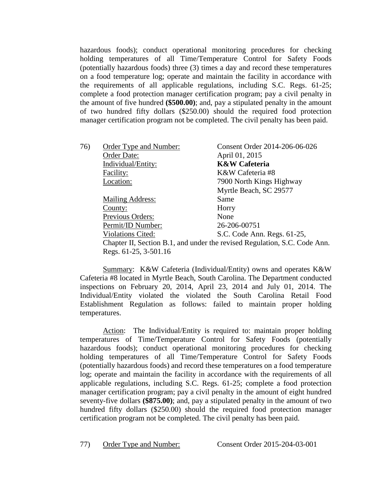hazardous foods); conduct operational monitoring procedures for checking holding temperatures of all Time/Temperature Control for Safety Foods (potentially hazardous foods) three (3) times a day and record these temperatures on a food temperature log; operate and maintain the facility in accordance with the requirements of all applicable regulations, including S.C. Regs. 61-25; complete a food protection manager certification program; pay a civil penalty in the amount of five hundred **(\$500.00)**; and, pay a stipulated penalty in the amount of two hundred fifty dollars (\$250.00) should the required food protection manager certification program not be completed. The civil penalty has been paid.

| 76) | Order Type and Number:                                                    | Consent Order 2014-206-06-026 |
|-----|---------------------------------------------------------------------------|-------------------------------|
|     | Order Date:                                                               | April 01, 2015                |
|     | Individual/Entity:                                                        | <b>K&amp;W</b> Cafeteria      |
|     | Facility:                                                                 | K&W Cafeteria #8              |
|     | Location:                                                                 | 7900 North Kings Highway      |
|     |                                                                           | Myrtle Beach, SC 29577        |
|     | <b>Mailing Address:</b>                                                   | Same                          |
|     | County:                                                                   | Horry                         |
|     | Previous Orders:                                                          | None                          |
|     | Permit/ID Number:                                                         | 26-206-00751                  |
|     | <b>Violations Cited:</b>                                                  | S.C. Code Ann. Regs. 61-25,   |
|     | Chapter II, Section B.1, and under the revised Regulation, S.C. Code Ann. |                               |
|     | Regs. 61-25, 3-501.16                                                     |                               |

Summary: K&W Cafeteria (Individual/Entity) owns and operates K&W Cafeteria #8 located in Myrtle Beach, South Carolina. The Department conducted inspections on February 20, 2014, April 23, 2014 and July 01, 2014. The Individual/Entity violated the violated the South Carolina Retail Food Establishment Regulation as follows: failed to maintain proper holding temperatures.

Action: The Individual/Entity is required to: maintain proper holding temperatures of Time/Temperature Control for Safety Foods (potentially hazardous foods); conduct operational monitoring procedures for checking holding temperatures of all Time/Temperature Control for Safety Foods (potentially hazardous foods) and record these temperatures on a food temperature log; operate and maintain the facility in accordance with the requirements of all applicable regulations, including S.C. Regs. 61-25; complete a food protection manager certification program; pay a civil penalty in the amount of eight hundred seventy-five dollars **(\$875.00)**; and, pay a stipulated penalty in the amount of two hundred fifty dollars (\$250.00) should the required food protection manager certification program not be completed. The civil penalty has been paid.

77) Order Type and Number: Consent Order 2015-204-03-001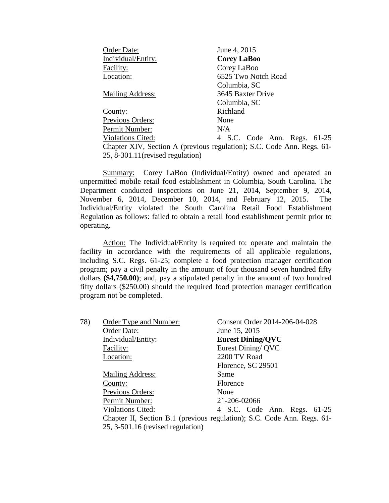| Order Date:                       | June 4, 2015                                                           |
|-----------------------------------|------------------------------------------------------------------------|
| Individual/Entity:                | <b>Corey LaBoo</b>                                                     |
| Facility:                         | Corey LaBoo                                                            |
| Location:                         | 6525 Two Notch Road                                                    |
|                                   | Columbia, SC                                                           |
| <b>Mailing Address:</b>           | 3645 Baxter Drive                                                      |
|                                   | Columbia, SC                                                           |
| County:                           | Richland                                                               |
| Previous Orders:                  | None                                                                   |
| Permit Number:                    | N/A                                                                    |
| <b>Violations Cited:</b>          | 4 S.C. Code Ann. Regs. 61-25                                           |
|                                   | Chapter XIV, Section A (previous regulation); S.C. Code Ann. Regs. 61- |
| 25, 8-301.11 (revised regulation) |                                                                        |

Summary: Corey LaBoo (Individual/Entity) owned and operated an unpermitted mobile retail food establishment in Columbia, South Carolina. The Department conducted inspections on June 21, 2014, September 9, 2014, November 6, 2014, December 10, 2014, and February 12, 2015. The Individual/Entity violated the South Carolina Retail Food Establishment Regulation as follows: failed to obtain a retail food establishment permit prior to operating.

Action: The Individual/Entity is required to: operate and maintain the facility in accordance with the requirements of all applicable regulations, including S.C. Regs. 61-25; complete a food protection manager certification program; pay a civil penalty in the amount of four thousand seven hundred fifty dollars **(\$4,750.00)**; and, pay a stipulated penalty in the amount of two hundred fifty dollars (\$250.00) should the required food protection manager certification program not be completed.

| 78) | Order Type and Number:              | Consent Order 2014-206-04-028                                           |
|-----|-------------------------------------|-------------------------------------------------------------------------|
|     | Order Date:                         | June 15, 2015                                                           |
|     | Individual/Entity:                  | <b>Eurest Dining/QVC</b>                                                |
|     | Facility:                           | Eurest Dining/QVC                                                       |
|     | Location:                           | 2200 TV Road                                                            |
|     |                                     | Florence, SC 29501                                                      |
|     | <b>Mailing Address:</b>             | Same                                                                    |
|     | County:                             | Florence                                                                |
|     | Previous Orders:                    | None                                                                    |
|     | Permit Number:                      | 21-206-02066                                                            |
|     | <b>Violations Cited:</b>            | 4 S.C. Code Ann. Regs. 61-25                                            |
|     |                                     | Chapter II, Section B.1 (previous regulation); S.C. Code Ann. Regs. 61- |
|     | $25, 3-501.16$ (revised regulation) |                                                                         |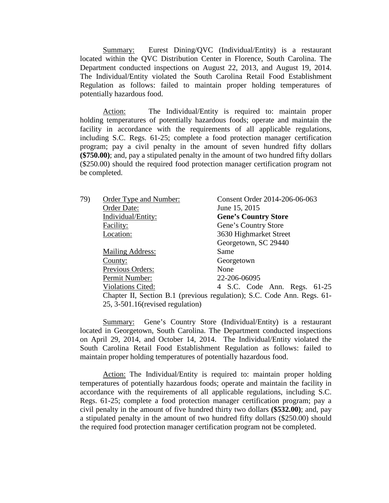Summary: Eurest Dining/QVC (Individual/Entity) is a restaurant located within the QVC Distribution Center in Florence, South Carolina. The Department conducted inspections on August 22, 2013, and August 19, 2014. The Individual/Entity violated the South Carolina Retail Food Establishment Regulation as follows: failed to maintain proper holding temperatures of potentially hazardous food.

Action: The Individual/Entity is required to: maintain proper holding temperatures of potentially hazardous foods; operate and maintain the facility in accordance with the requirements of all applicable regulations, including S.C. Regs. 61-25; complete a food protection manager certification program; pay a civil penalty in the amount of seven hundred fifty dollars **(\$750.00)**; and, pay a stipulated penalty in the amount of two hundred fifty dollars (\$250.00) should the required food protection manager certification program not be completed.

| 79) | Order Type and Number:              | Consent Order 2014-206-06-063                                           |
|-----|-------------------------------------|-------------------------------------------------------------------------|
|     | Order Date:                         | June 15, 2015                                                           |
|     | Individual/Entity:                  | <b>Gene's Country Store</b>                                             |
|     | Facility:                           | Gene's Country Store                                                    |
|     | Location:                           | 3630 Highmarket Street                                                  |
|     |                                     | Georgetown, SC 29440                                                    |
|     | <b>Mailing Address:</b>             | Same                                                                    |
|     | County:                             | Georgetown                                                              |
|     | Previous Orders:                    | None                                                                    |
|     | Permit Number:                      | 22-206-06095                                                            |
|     | <b>Violations Cited:</b>            | 4 S.C. Code Ann. Regs. 61-25                                            |
|     |                                     | Chapter II, Section B.1 (previous regulation); S.C. Code Ann. Regs. 61- |
|     | $25, 3-501.16$ (revised regulation) |                                                                         |

Summary: Gene's Country Store (Individual/Entity) is a restaurant located in Georgetown, South Carolina. The Department conducted inspections on April 29, 2014, and October 14, 2014. The Individual/Entity violated the South Carolina Retail Food Establishment Regulation as follows: failed to maintain proper holding temperatures of potentially hazardous food.

Action: The Individual/Entity is required to: maintain proper holding temperatures of potentially hazardous foods; operate and maintain the facility in accordance with the requirements of all applicable regulations, including S.C. Regs. 61-25; complete a food protection manager certification program; pay a civil penalty in the amount of five hundred thirty two dollars **(\$532.00)**; and, pay a stipulated penalty in the amount of two hundred fifty dollars (\$250.00) should the required food protection manager certification program not be completed.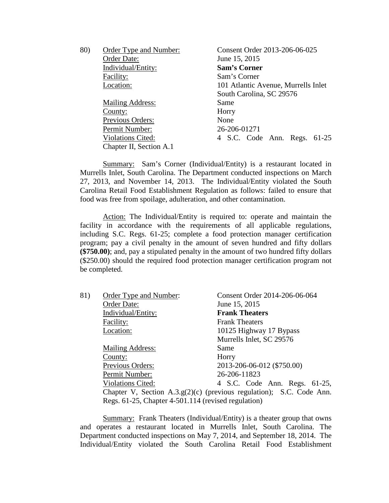| 80) | Order Type and Number:   | Consent Order 2013-206-06-025       |
|-----|--------------------------|-------------------------------------|
|     | Order Date:              | June 15, 2015                       |
|     | Individual/Entity:       | <b>Sam's Corner</b>                 |
|     | Facility:                | Sam's Corner                        |
|     | Location:                | 101 Atlantic Avenue, Murrells Inlet |
|     |                          | South Carolina, SC 29576            |
|     | <b>Mailing Address:</b>  | Same                                |
|     | County:                  | Horry                               |
|     | Previous Orders:         | None                                |
|     | Permit Number:           | 26-206-01271                        |
|     | <b>Violations Cited:</b> | 4 S.C. Code Ann. Regs. 61-25        |
|     | Chapter II, Section A.1  |                                     |

Summary: Sam's Corner (Individual/Entity) is a restaurant located in Murrells Inlet, South Carolina. The Department conducted inspections on March 27, 2013, and November 14, 2013. The Individual/Entity violated the South Carolina Retail Food Establishment Regulation as follows: failed to ensure that food was free from spoilage, adulteration, and other contamination.

Action: The Individual/Entity is required to: operate and maintain the facility in accordance with the requirements of all applicable regulations, including S.C. Regs. 61-25; complete a food protection manager certification program; pay a civil penalty in the amount of seven hundred and fifty dollars **(\$750.00)**; and, pay a stipulated penalty in the amount of two hundred fifty dollars (\$250.00) should the required food protection manager certification program not be completed.

| 81) | Order Type and Number:                              | Consent Order 2014-206-06-064                                        |
|-----|-----------------------------------------------------|----------------------------------------------------------------------|
|     | Order Date:                                         | June 15, 2015                                                        |
|     | Individual/Entity:                                  | <b>Frank Theaters</b>                                                |
|     | Facility:                                           | <b>Frank Theaters</b>                                                |
|     | Location:                                           | 10125 Highway 17 Bypass                                              |
|     |                                                     | Murrells Inlet, SC 29576                                             |
|     | <b>Mailing Address:</b>                             | Same                                                                 |
|     | County:                                             | Horry                                                                |
|     | Previous Orders:                                    | 2013-206-06-012 (\$750.00)                                           |
|     | Permit Number:                                      | 26-206-11823                                                         |
|     | <b>Violations Cited:</b>                            | 4 S.C. Code Ann. Regs. 61-25,                                        |
|     |                                                     | Chapter V, Section A.3.g(2)(c) (previous regulation); S.C. Code Ann. |
|     | Regs. 61-25, Chapter 4-501.114 (revised regulation) |                                                                      |

Summary: Frank Theaters (Individual/Entity) is a theater group that owns and operates a restaurant located in Murrells Inlet, South Carolina. The Department conducted inspections on May 7, 2014, and September 18, 2014. The Individual/Entity violated the South Carolina Retail Food Establishment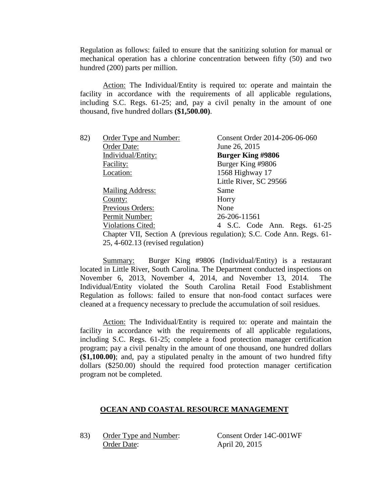Regulation as follows: failed to ensure that the sanitizing solution for manual or mechanical operation has a chlorine concentration between fifty (50) and two hundred (200) parts per million.

Action: The Individual/Entity is required to: operate and maintain the facility in accordance with the requirements of all applicable regulations, including S.C. Regs. 61-25; and, pay a civil penalty in the amount of one thousand, five hundred dollars **(\$1,500.00)**.

| 82) | Order Type and Number:              | Consent Order 2014-206-06-060                                          |
|-----|-------------------------------------|------------------------------------------------------------------------|
|     | Order Date:                         | June 26, 2015                                                          |
|     | Individual/Entity:                  | <b>Burger King #9806</b>                                               |
|     | Facility:                           | Burger King #9806                                                      |
|     | Location:                           | 1568 Highway 17                                                        |
|     |                                     | Little River, SC 29566                                                 |
|     | <b>Mailing Address:</b>             | Same                                                                   |
|     | County:                             | Horry                                                                  |
|     | Previous Orders:                    | None                                                                   |
|     | Permit Number:                      | 26-206-11561                                                           |
|     | <b>Violations Cited:</b>            | 4 S.C. Code Ann. Regs. 61-25                                           |
|     |                                     | Chapter VII, Section A (previous regulation); S.C. Code Ann. Regs. 61- |
|     | $25, 4-602.13$ (revised regulation) |                                                                        |
|     |                                     |                                                                        |

Summary: Burger King #9806 (Individual/Entity) is a restaurant located in Little River, South Carolina. The Department conducted inspections on November 6, 2013, November 4, 2014, and November 13, 2014. The Individual/Entity violated the South Carolina Retail Food Establishment Regulation as follows: failed to ensure that non-food contact surfaces were cleaned at a frequency necessary to preclude the accumulation of soil residues.

Action: The Individual/Entity is required to: operate and maintain the facility in accordance with the requirements of all applicable regulations, including S.C. Regs. 61-25; complete a food protection manager certification program; pay a civil penalty in the amount of one thousand, one hundred dollars **(\$1,100.00)**; and, pay a stipulated penalty in the amount of two hundred fifty dollars (\$250.00) should the required food protection manager certification program not be completed.

# **OCEAN AND COASTAL RESOURCE MANAGEMENT**

83) Order Type and Number: Consent Order 14C-001WF Order Date: April 20, 2015